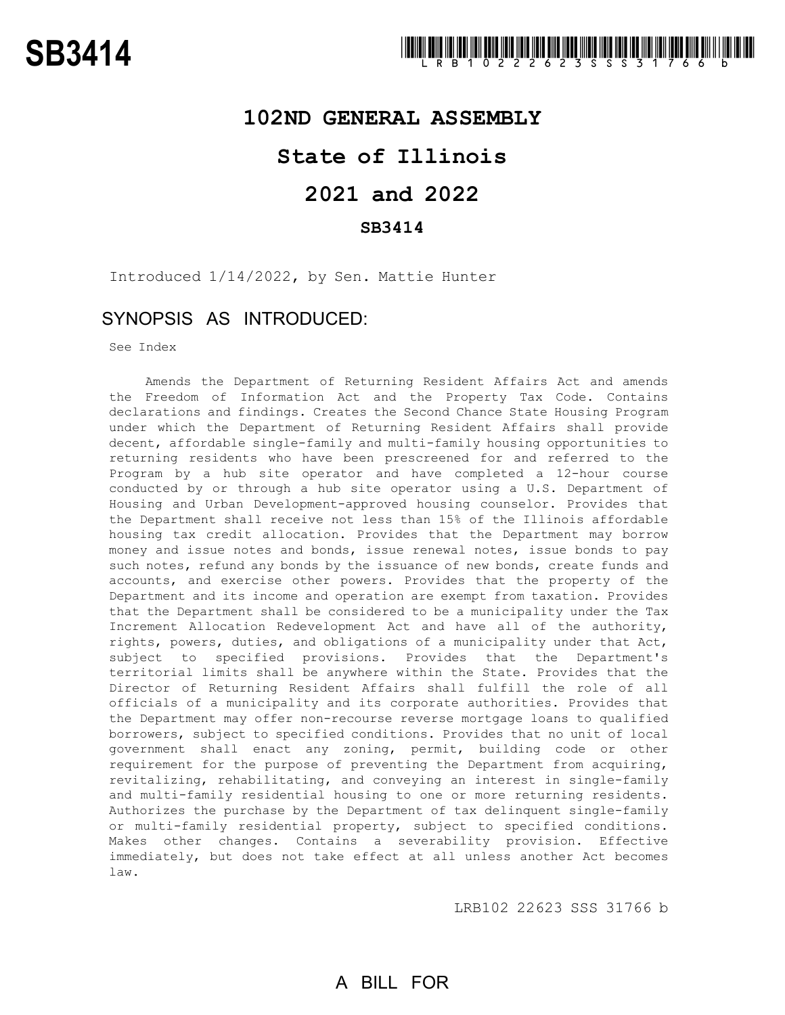### **102ND GENERAL ASSEMBLY**

# **State of Illinois**

# **2021 and 2022**

#### **SB3414**

Introduced 1/14/2022, by Sen. Mattie Hunter

# SYNOPSIS AS INTRODUCED:

See Index

Amends the Department of Returning Resident Affairs Act and amends the Freedom of Information Act and the Property Tax Code. Contains declarations and findings. Creates the Second Chance State Housing Program under which the Department of Returning Resident Affairs shall provide decent, affordable single-family and multi-family housing opportunities to returning residents who have been prescreened for and referred to the Program by a hub site operator and have completed a 12-hour course conducted by or through a hub site operator using a U.S. Department of Housing and Urban Development-approved housing counselor. Provides that the Department shall receive not less than 15% of the Illinois affordable housing tax credit allocation. Provides that the Department may borrow money and issue notes and bonds, issue renewal notes, issue bonds to pay such notes, refund any bonds by the issuance of new bonds, create funds and accounts, and exercise other powers. Provides that the property of the Department and its income and operation are exempt from taxation. Provides that the Department shall be considered to be a municipality under the Tax Increment Allocation Redevelopment Act and have all of the authority, rights, powers, duties, and obligations of a municipality under that Act, subject to specified provisions. Provides that the Department's territorial limits shall be anywhere within the State. Provides that the Director of Returning Resident Affairs shall fulfill the role of all officials of a municipality and its corporate authorities. Provides that the Department may offer non-recourse reverse mortgage loans to qualified borrowers, subject to specified conditions. Provides that no unit of local government shall enact any zoning, permit, building code or other requirement for the purpose of preventing the Department from acquiring, revitalizing, rehabilitating, and conveying an interest in single-family and multi-family residential housing to one or more returning residents. Authorizes the purchase by the Department of tax delinquent single-family or multi-family residential property, subject to specified conditions. Makes other changes. Contains a severability provision. Effective immediately, but does not take effect at all unless another Act becomes law.

LRB102 22623 SSS 31766 b

# A BILL FOR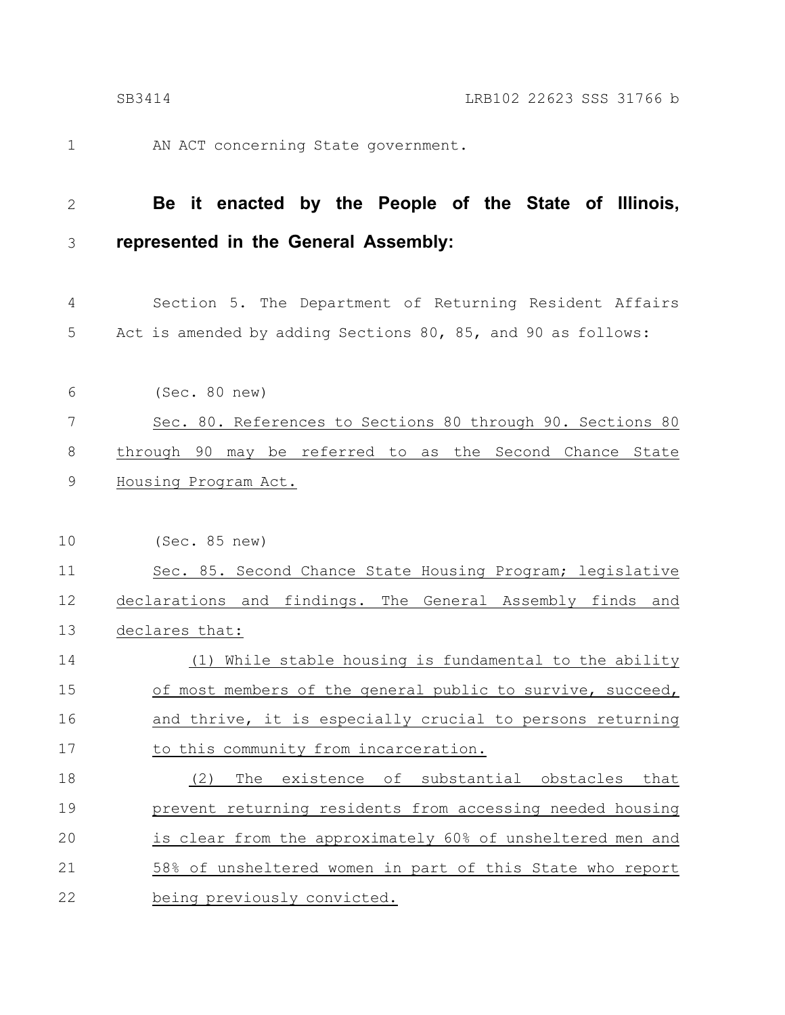AN ACT concerning State government.

1

**Be it enacted by the People of the State of Illinois, represented in the General Assembly:** 2 3

Section 5. The Department of Returning Resident Affairs Act is amended by adding Sections 80, 85, and 90 as follows: 4 5

(Sec. 80 new) Sec. 80. References to Sections 80 through 90. Sections 80 through 90 may be referred to as the Second Chance State Housing Program Act. 6 7 8 9

(Sec. 85 new) Sec. 85. Second Chance State Housing Program; legislative declarations and findings. The General Assembly finds and declares that: (1) While stable housing is fundamental to the ability of most members of the general public to survive, succeed, and thrive, it is especially crucial to persons returning to this community from incarceration. (2) The existence of substantial obstacles that prevent returning residents from accessing needed housing is clear from the approximately 60% of unsheltered men and 58% of unsheltered women in part of this State who report being previously convicted. 10 11 12 13 14 15 16 17 18 19 20 21 22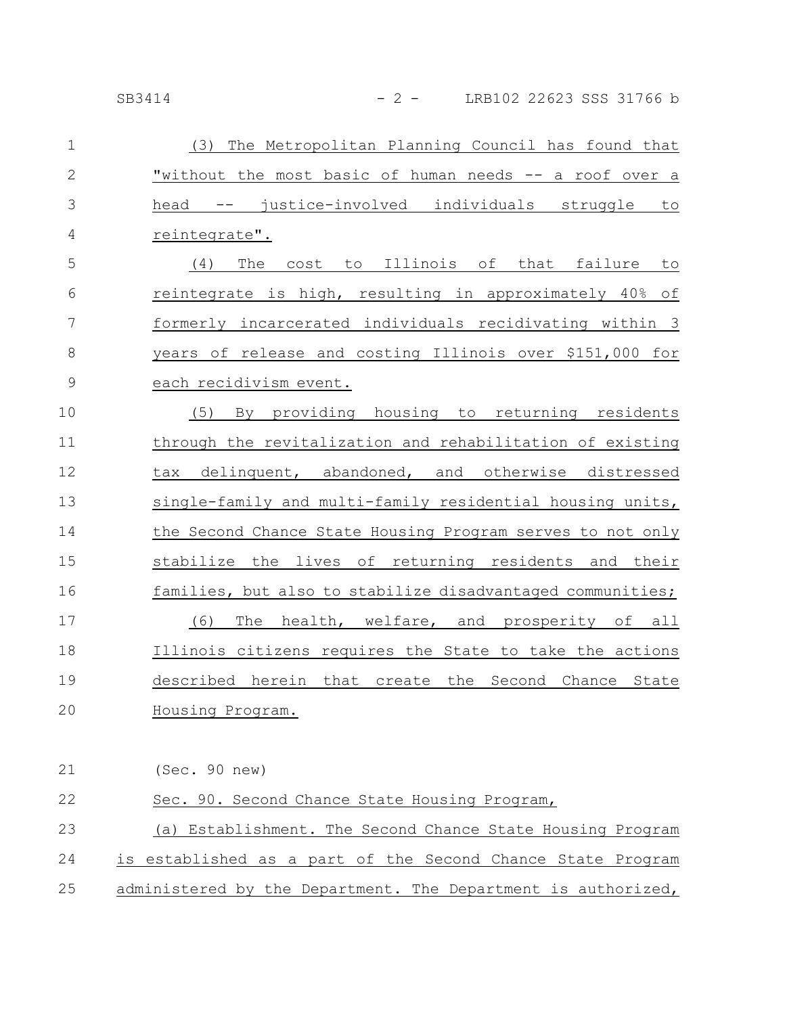### SB3414 - 2 - LRB102 22623 SSS 31766 b

| $\mathbf 1$    | The Metropolitan Planning Council has found that<br>(3)       |
|----------------|---------------------------------------------------------------|
| $\mathbf{2}$   | "without the most basic of human needs -- a roof over a       |
| 3              | head -- justice-involved individuals struggle<br>to           |
| $\overline{4}$ | reintegrate".                                                 |
| 5              | cost to Illinois of that failure to<br>The<br>(4)             |
| 6              | reintegrate is high, resulting in approximately 40% of        |
| 7              | formerly incarcerated individuals recidivating within 3       |
| $8\,$          | years of release and costing Illinois over \$151,000 for      |
| $\mathsf 9$    | each recidivism event.                                        |
| 10             | (5)<br>By providing housing to returning residents            |
| 11             | through the revitalization and rehabilitation of existing     |
| 12             | tax delinquent, abandoned, and otherwise distressed           |
| 13             | single-family and multi-family residential housing units,     |
| 14             | the Second Chance State Housing Program serves to not only    |
| 15             | stabilize the lives of returning residents and their          |
| 16             | families, but also to stabilize disadvantaged communities;    |
| 17             | The health, welfare, and prosperity of all<br>(6)             |
| 18             | Illinois citizens requires the State to take the actions      |
| 19             | described herein that create the Second Chance State          |
| 20             | Housing Program.                                              |
|                |                                                               |
| 21             | (Sec. 90 new)                                                 |
| 22             | Sec. 90. Second Chance State Housing Program,                 |
| 23             | (a) Establishment. The Second Chance State Housing Program    |
| 24             | is established as a part of the Second Chance State Program   |
| 25             | administered by the Department. The Department is authorized, |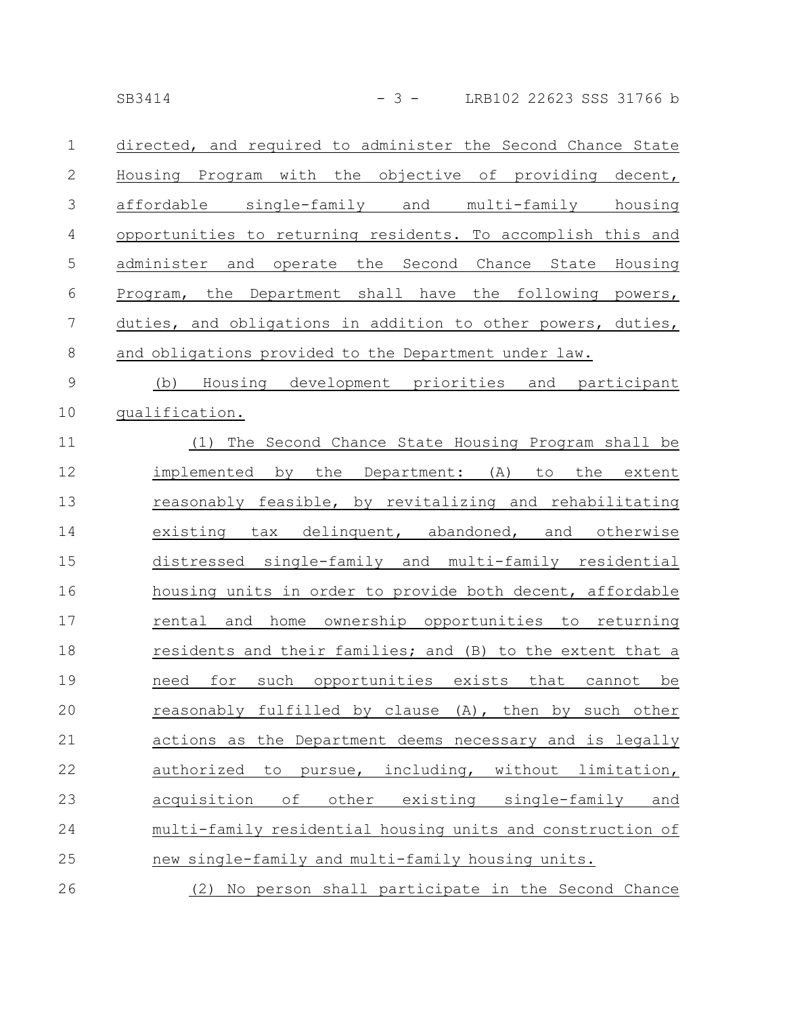directed, and required to administer the Second Chance State Housing Program with the objective of providing decent, affordable single-family and multi-family housing opportunities to returning residents. To accomplish this and administer and operate the Second Chance State Housing Program, the Department shall have the following powers, duties, and obligations in addition to other powers, duties, and obligations provided to the Department under law. 1 2 3 4 5 6 7 8

(b) Housing development priorities and participant qualification. 9 10

(1) The Second Chance State Housing Program shall be implemented by the Department: (A) to the extent reasonably feasible, by revitalizing and rehabilitating existing tax delinquent, abandoned, and otherwise distressed single-family and multi-family residential housing units in order to provide both decent, affordable rental and home ownership opportunities to returning residents and their families; and (B) to the extent that a need for such opportunities exists that cannot be reasonably fulfilled by clause (A), then by such other actions as the Department deems necessary and is legally authorized to pursue, including, without limitation, acquisition of other existing single-family and multi-family residential housing units and construction of new single-family and multi-family housing units. 11 12 13 14 15 16 17 18 19 20 21 22 23 24 25

(2) No person shall participate in the Second Chance 26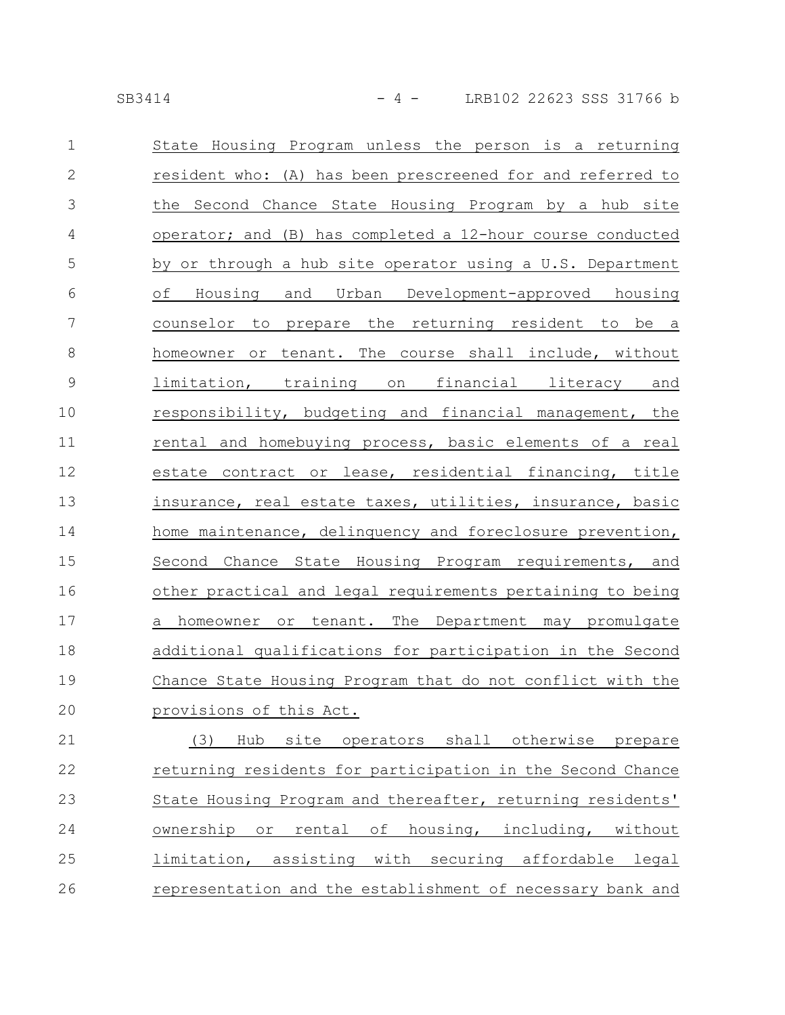|--|

| $\mathbf 1$    | State Housing Program unless the person is a returning                         |
|----------------|--------------------------------------------------------------------------------|
| $\mathbf{2}$   | resident who: (A) has been prescreened for and referred to                     |
| 3              | the Second Chance State Housing Program by a hub site                          |
| $\overline{4}$ | operator; and (B) has completed a 12-hour course conducted                     |
| 5              | by or through a hub site operator using a U.S. Department                      |
| 6              | of Housing and Urban Development-approved housing                              |
| 7              | counselor to prepare the returning resident to be a                            |
| $\,8\,$        | homeowner or tenant. The course shall include, without                         |
| $\mathsf 9$    | limitation, training on financial literacy and                                 |
| 10             | responsibility, budgeting and financial management, the                        |
| 11             | rental and homebuying process, basic elements of a real                        |
| 12             | estate contract or lease, residential financing, title                         |
| 13             | insurance, real estate taxes, utilities, insurance, basic                      |
| 14             | home maintenance, delinquency and foreclosure prevention,                      |
| 15             | Second Chance State Housing Program requirements, and                          |
| 16             | other practical and legal requirements pertaining to being                     |
| 17             | a homeowner or tenant. The Department may promulgate                           |
| 18             | additional qualifications for participation in the Second                      |
| 19             | Chance State Housing Program that do not conflict with the                     |
| 20             | provisions of this Act.                                                        |
| 21             | otherwise<br>(3)<br>Hub<br>site<br>operators<br>shall<br>prepare               |
| 22             | returning residents for participation in the Second Chance                     |
| 23             | State Housing Program and thereafter, returning residents'                     |
| 24             | housing,<br>ownership<br>rental<br>оf<br>including,<br>without<br>$\circ$ $\,$ |
| 25             | limitation, assisting with securing affordable legal                           |

representation and the establishment of necessary bank and 26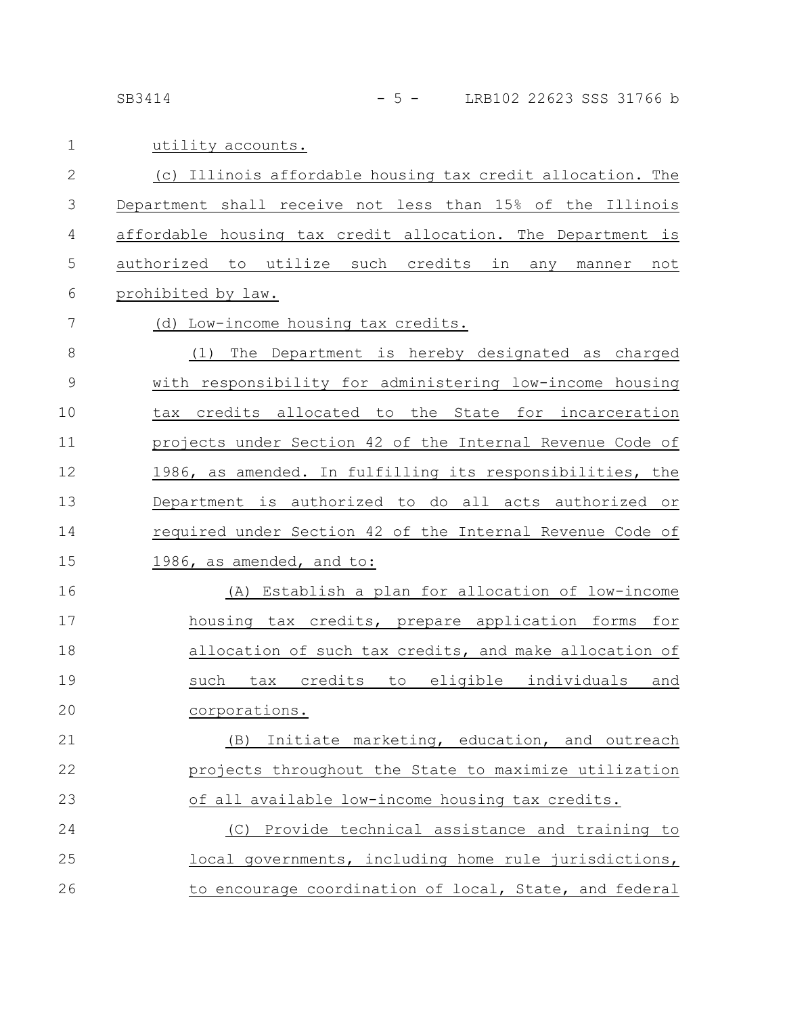SB3414 - 5 - LRB102 22623 SSS 31766 b

7

utility accounts. 1

(c) Illinois affordable housing tax credit allocation. The Department shall receive not less than 15% of the Illinois affordable housing tax credit allocation. The Department is authorized to utilize such credits in any manner not prohibited by law. 2 3 4 5 6

(d) Low-income housing tax credits.

(1) The Department is hereby designated as charged with responsibility for administering low-income housing tax credits allocated to the State for incarceration projects under Section 42 of the Internal Revenue Code of 1986, as amended. In fulfilling its responsibilities, the Department is authorized to do all acts authorized or required under Section 42 of the Internal Revenue Code of 1986, as amended, and to: 8 9 10 11 12 13 14 15

(A) Establish a plan for allocation of low-income housing tax credits, prepare application forms for allocation of such tax credits, and make allocation of such tax credits to eligible individuals and corporations. 16 17 18 19 20

(B) Initiate marketing, education, and outreach projects throughout the State to maximize utilization of all available low-income housing tax credits. (C) Provide technical assistance and training to 21 22 23 24

local governments, including home rule jurisdictions, to encourage coordination of local, State, and federal 25 26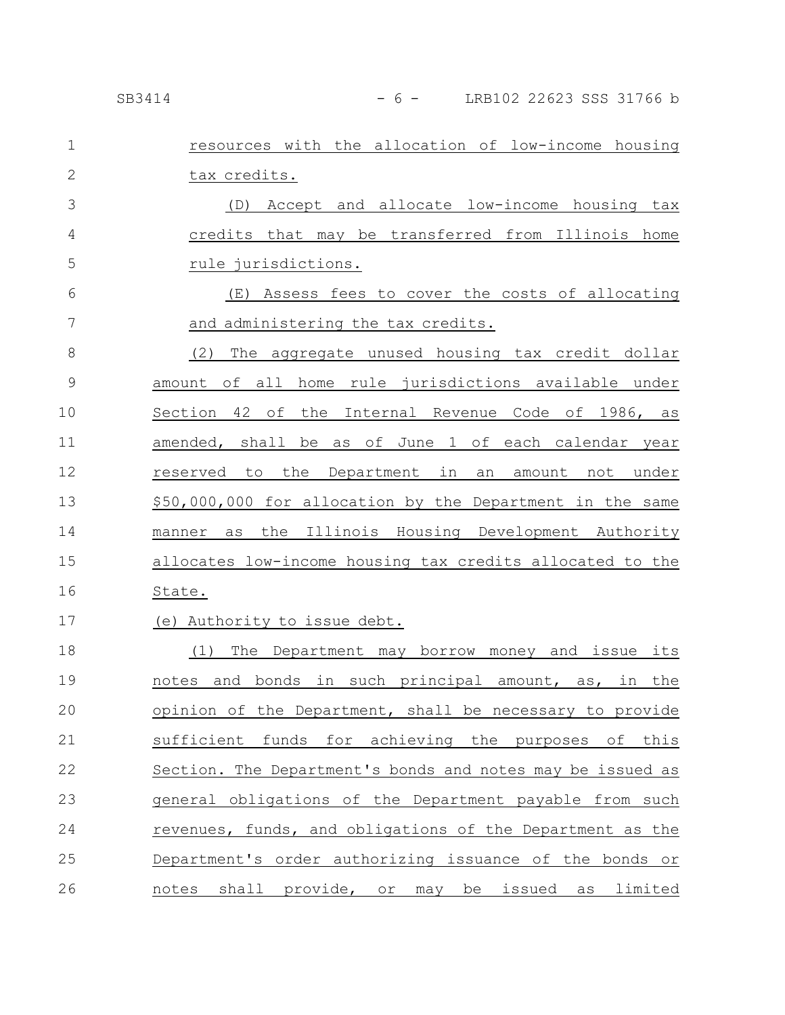| $\mathbf{1}$ | resources with the allocation of low-income housing        |
|--------------|------------------------------------------------------------|
| $\mathbf{2}$ | tax credits.                                               |
| 3            | (D) Accept and allocate low-income housing tax             |
| 4            | credits that may be transferred from Illinois home         |
| 5            | rule jurisdictions.                                        |
| 6            | (E)<br>Assess fees to cover the costs of allocating        |
| 7            | and administering the tax credits.                         |
| 8            | (2)<br>The aggregate unused housing tax credit dollar      |
| 9            | amount of all home rule jurisdictions available under      |
| 10           | Section 42 of the Internal Revenue Code of 1986, as        |
| 11           | amended, shall be as of June 1 of each calendar year       |
| 12           | the Department in<br>reserved to<br>amount not under<br>an |
| 13           | \$50,000,000 for allocation by the Department in the same  |
| 14           | the Illinois Housing Development Authority<br>as<br>manner |
| 15           | allocates low-income housing tax credits allocated to the  |
| 16           | State.                                                     |
| 17           | (e) Authority to issue debt.                               |
| 18           | The Department may borrow money and issue its<br>(1)       |
| 19           | notes and bonds in such principal amount, as, in the       |
| 20           | opinion of the Department, shall be necessary to provide   |
| 21           | sufficient funds for achieving the purposes of this        |
| 22           | Section. The Department's bonds and notes may be issued as |
| 23           | general obligations of the Department payable from such    |
| 24           | revenues, funds, and obligations of the Department as the  |
| 25           | Department's order authorizing issuance of the bonds or    |
| 26           | notes shall provide, or may be issued as limited           |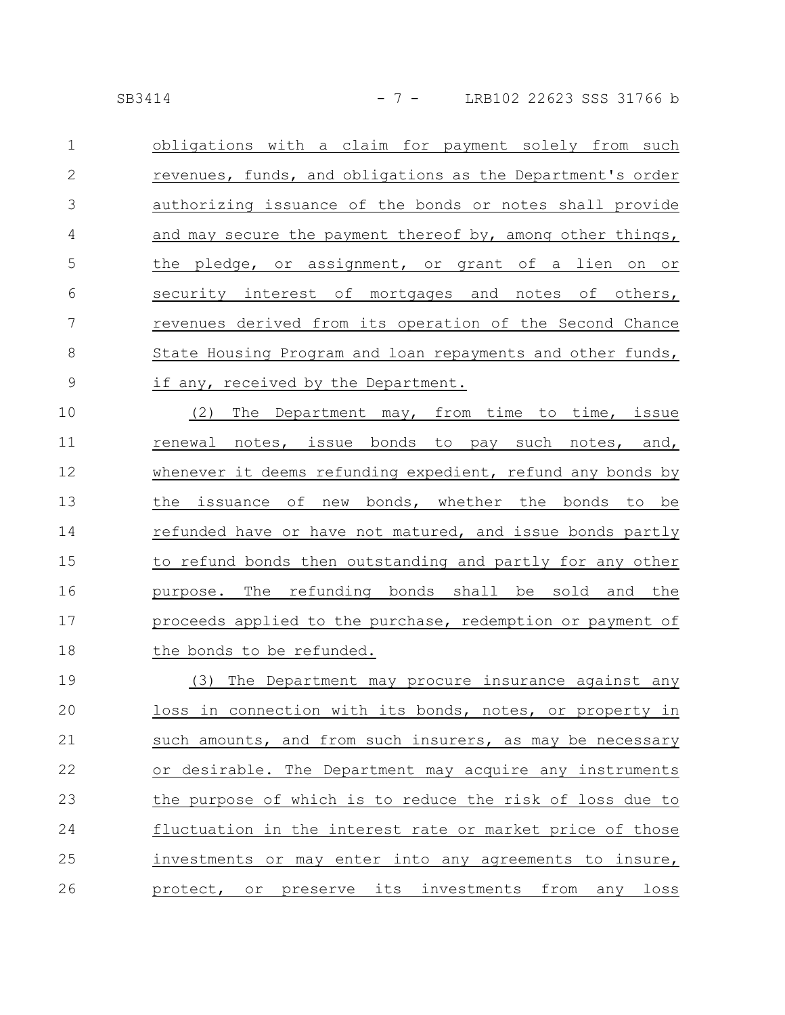obligations with a claim for payment solely from such revenues, funds, and obligations as the Department's order authorizing issuance of the bonds or notes shall provide and may secure the payment thereof by, among other things, the pledge, or assignment, or grant of a lien on or security interest of mortgages and notes of others, revenues derived from its operation of the Second Chance State Housing Program and loan repayments and other funds, if any, received by the Department. 1 2 3 4 5 6 7 8 9

(2) The Department may, from time to time, issue renewal notes, issue bonds to pay such notes, and, whenever it deems refunding expedient, refund any bonds by the issuance of new bonds, whether the bonds to be refunded have or have not matured, and issue bonds partly to refund bonds then outstanding and partly for any other purpose. The refunding bonds shall be sold and the proceeds applied to the purchase, redemption or payment of the bonds to be refunded. 10 11 12 13 14 15 16 17 18

(3) The Department may procure insurance against any loss in connection with its bonds, notes, or property in such amounts, and from such insurers, as may be necessary or desirable. The Department may acquire any instruments the purpose of which is to reduce the risk of loss due to fluctuation in the interest rate or market price of those investments or may enter into any agreements to insure, protect, or preserve its investments from any loss 19 20 21 22 23 24 25 26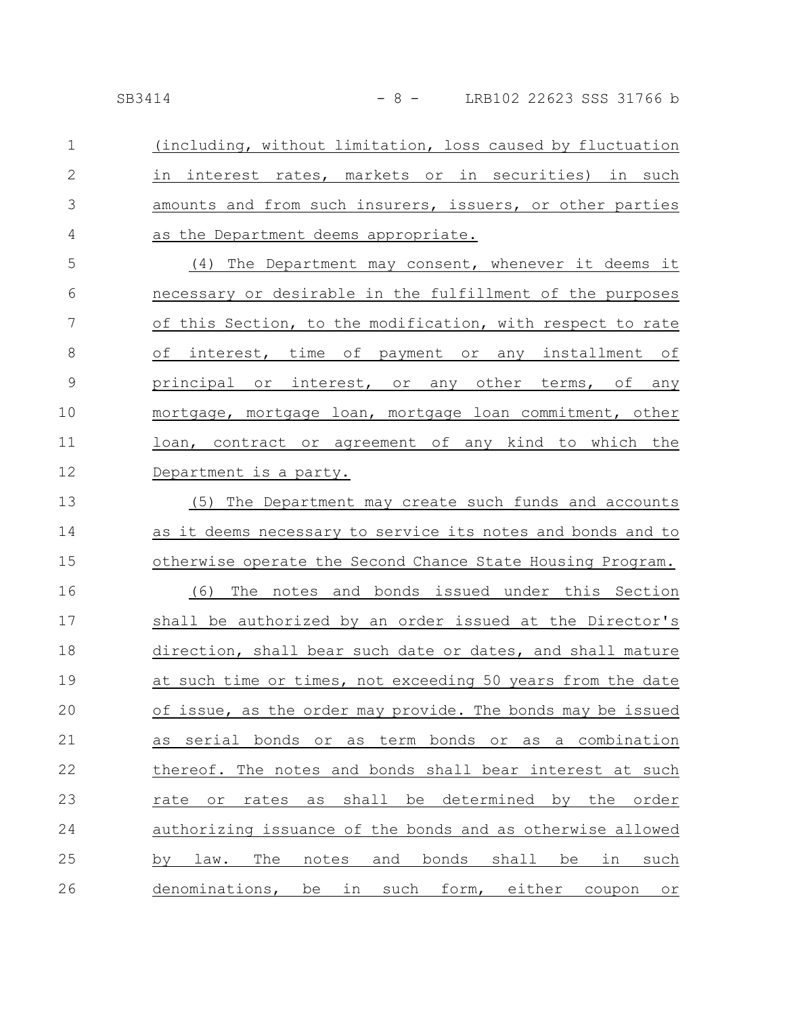(including, without limitation, loss caused by fluctuation in interest rates, markets or in securities) in such amounts and from such insurers, issuers, or other parties as the Department deems appropriate. 1 2 3 4

(4) The Department may consent, whenever it deems it necessary or desirable in the fulfillment of the purposes of this Section, to the modification, with respect to rate of interest, time of payment or any installment of principal or interest, or any other terms, of any mortgage, mortgage loan, mortgage loan commitment, other loan, contract or agreement of any kind to which the Department is a party. 5 6 7 8 9 10 11 12

(5) The Department may create such funds and accounts as it deems necessary to service its notes and bonds and to otherwise operate the Second Chance State Housing Program. (6) The notes and bonds issued under this Section shall be authorized by an order issued at the Director's direction, shall bear such date or dates, and shall mature at such time or times, not exceeding 50 years from the date of issue, as the order may provide. The bonds may be issued as serial bonds or as term bonds or as a combination thereof. The notes and bonds shall bear interest at such rate or rates as shall be determined by the order authorizing issuance of the bonds and as otherwise allowed by law. The notes and bonds shall be in such denominations, be in such form, either coupon or 13 14 15 16 17 18 19 20 21 22 23 24 25 26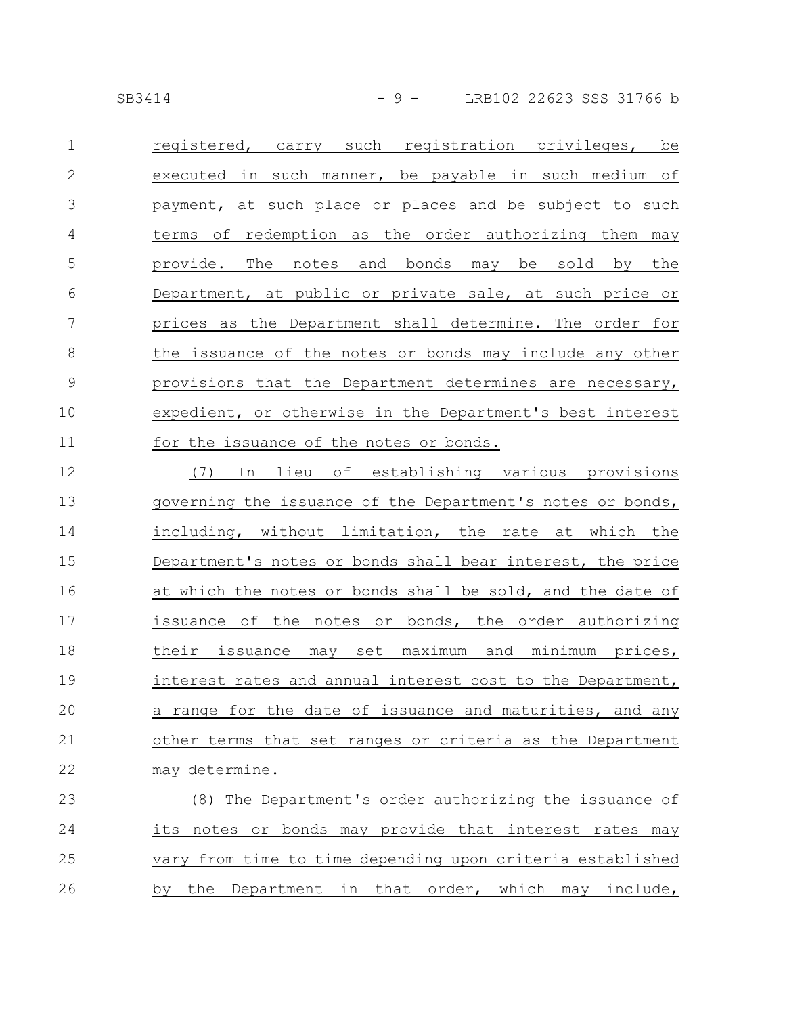registered, carry such registration privileges, be executed in such manner, be payable in such medium of payment, at such place or places and be subject to such terms of redemption as the order authorizing them may provide. The notes and bonds may be sold by the Department, at public or private sale, at such price or prices as the Department shall determine. The order for the issuance of the notes or bonds may include any other provisions that the Department determines are necessary, expedient, or otherwise in the Department's best interest for the issuance of the notes or bonds. 1 2 3 4 5 6 7 8 9 10 11

(7) In lieu of establishing various provisions governing the issuance of the Department's notes or bonds, including, without limitation, the rate at which the Department's notes or bonds shall bear interest, the price at which the notes or bonds shall be sold, and the date of issuance of the notes or bonds, the order authorizing their issuance may set maximum and minimum prices, interest rates and annual interest cost to the Department, a range for the date of issuance and maturities, and any other terms that set ranges or criteria as the Department may determine. 12 13 14 15 16 17 18 19 20 21 22

(8) The Department's order authorizing the issuance of its notes or bonds may provide that interest rates may vary from time to time depending upon criteria established by the Department in that order, which may include, 23 24 25 26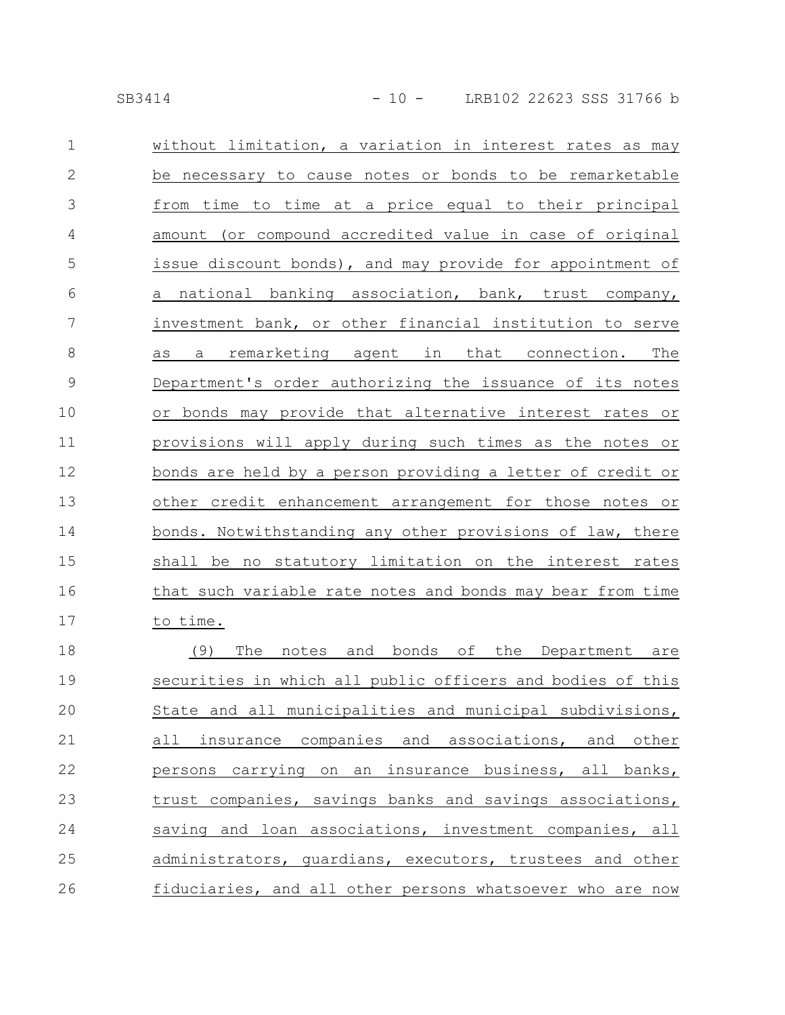|--|--|--|

| $\mathbf 1$   | without limitation, a variation in interest rates as may   |
|---------------|------------------------------------------------------------|
| $\mathbf{2}$  | be necessary to cause notes or bonds to be remarketable    |
| 3             | from time to time at a price equal to their principal      |
| 4             | amount (or compound accredited value in case of original   |
| 5             | issue discount bonds), and may provide for appointment of  |
| 6             | a national banking association, bank, trust company,       |
| 7             | investment bank, or other financial institution to serve   |
| 8             | remarketing agent in that connection. The<br>as<br>a       |
| $\mathcal{G}$ | Department's order authorizing the issuance of its notes   |
| 10            | or bonds may provide that alternative interest rates or    |
| 11            | provisions will apply during such times as the notes or    |
| 12            | bonds are held by a person providing a letter of credit or |
| 13            | other credit enhancement arrangement for those notes or    |
| 14            | bonds. Notwithstanding any other provisions of law, there  |
| 15            | shall be no statutory limitation on the interest rates     |
| 16            | that such variable rate notes and bonds may bear from time |
| 17            | to time.                                                   |
| 18            | notes and bonds of the Department are<br>(9)<br>The        |
| 19            | securities in which all public officers and bodies of this |
| 20            | State and all municipalities and municipal subdivisions,   |
| 21            | all insurance companies and associations, and other        |
| 22            | persons carrying on an insurance business, all banks,      |
| 23            | trust companies, savings banks and savings associations,   |
| 24            | saving and loan associations, investment companies, all    |
| 25            | administrators, guardians, executors, trustees and other   |
| 26            | fiduciaries, and all other persons whatsoever who are now  |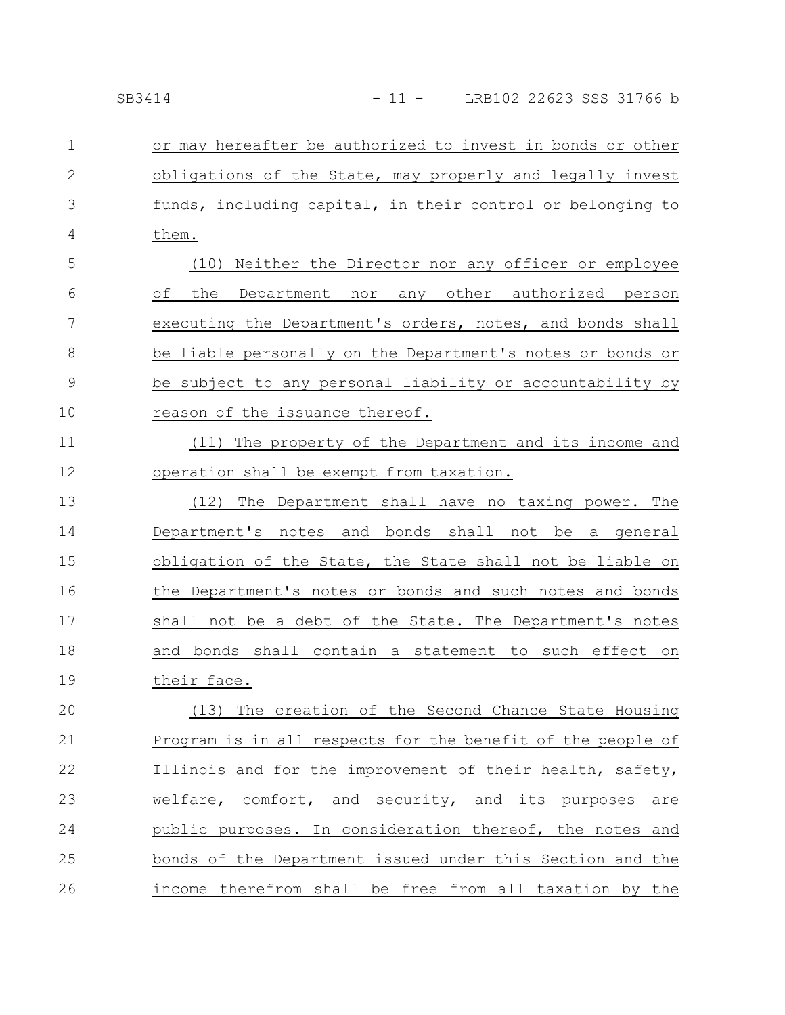or may hereafter be authorized to invest in bonds or other obligations of the State, may properly and legally invest funds, including capital, in their control or belonging to them. 1 2 3 4

(10) Neither the Director nor any officer or employee of the Department nor any other authorized person executing the Department's orders, notes, and bonds shall be liable personally on the Department's notes or bonds or be subject to any personal liability or accountability by reason of the issuance thereof. 5 6 7 8 9 10

(11) The property of the Department and its income and operation shall be exempt from taxation. 11 12

(12) The Department shall have no taxing power. The Department's notes and bonds shall not be a general obligation of the State, the State shall not be liable on the Department's notes or bonds and such notes and bonds shall not be a debt of the State. The Department's notes and bonds shall contain a statement to such effect on their face. 13 14 15 16 17 18 19

(13) The creation of the Second Chance State Housing Program is in all respects for the benefit of the people of Illinois and for the improvement of their health, safety, welfare, comfort, and security, and its purposes are public purposes. In consideration thereof, the notes and bonds of the Department issued under this Section and the income therefrom shall be free from all taxation by the 20 21 22 23 24 25 26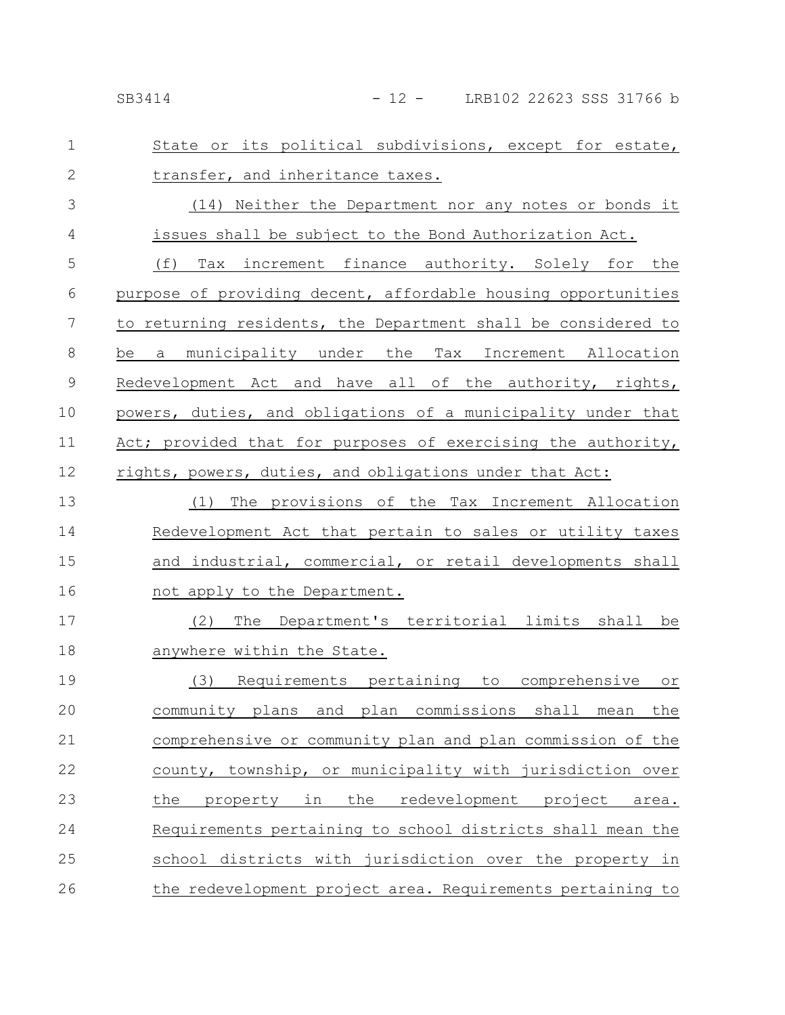| $\mathbf 1$    | State or its political subdivisions, except for estate,              |
|----------------|----------------------------------------------------------------------|
| $\mathbf{2}$   | transfer, and inheritance taxes.                                     |
| 3              | (14) Neither the Department nor any notes or bonds it                |
| 4              | issues shall be subject to the Bond Authorization Act.               |
| 5              | increment finance authority. Solely for the<br>(f)<br>Tax            |
| 6              | purpose of providing decent, affordable housing opportunities        |
| $7\phantom{.}$ | to returning residents, the Department shall be considered to        |
| $8\,$          | a municipality under the Tax Increment Allocation<br>be              |
| 9              | Redevelopment Act and have all of the authority, rights,             |
| 10             | powers, duties, and obligations of a municipality under that         |
| 11             | Act; provided that for purposes of exercising the authority,         |
| 12             | rights, powers, duties, and obligations under that Act:              |
| 13             | The provisions of the Tax Increment Allocation<br>(1)                |
| 14             | Redevelopment Act that pertain to sales or utility taxes             |
| 15             | and industrial, commercial, or retail developments shall             |
| 16             | not apply to the Department.                                         |
| 17             | The Department's territorial limits shall be<br>(2)                  |
| 18             | anywhere within the State.                                           |
| 19             | Requirements pertaining to comprehensive<br>(3)<br>$\circ$ $\,$ $\,$ |
| 20             | community plans and plan commissions shall mean<br>the               |

comprehensive or community plan and plan commission of the county, township, or municipality with jurisdiction over the property in the redevelopment project area. Requirements pertaining to school districts shall mean the school districts with jurisdiction over the property in the redevelopment project area. Requirements pertaining to 21 22 23 24 25 26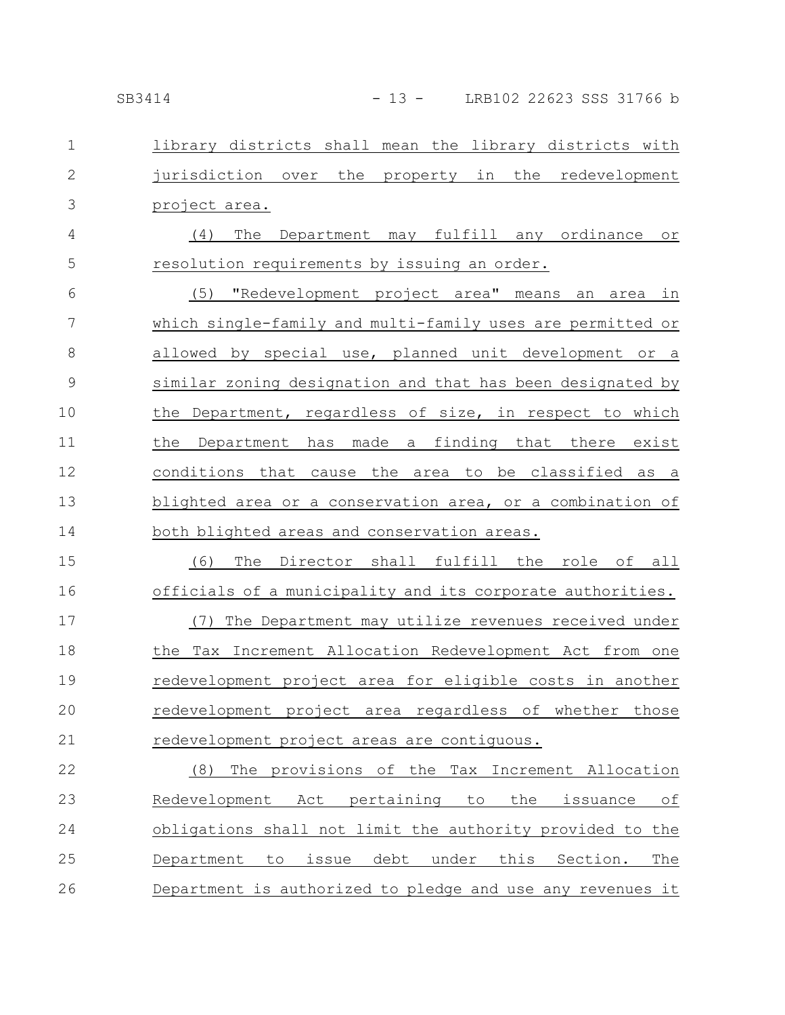| $\mathbf{1}$ | library districts shall mean the library districts with               |
|--------------|-----------------------------------------------------------------------|
| $\mathbf{2}$ | jurisdiction<br>the<br>the<br>in<br>redevelopment<br>over<br>property |
| 3            | project area.                                                         |
| 4            | may fulfill<br>The<br>any ordinance<br>(4)<br>Department<br>$\circ$ r |
| 5            | resolution requirements by issuing an order.                          |
| 6            | (5)<br>"Redevelopment project area" means an<br>area in               |
| 7            | which single-family and multi-family uses are permitted or            |
| 8            | allowed by special use, planned unit development or a                 |
| 9            | similar zoning designation and that has been designated by            |
| 10           | the Department, regardless of size, in respect to which               |
| 11           | made<br>finding that there<br>the<br>Department has<br>exist<br>a     |
| 12           | conditions that cause the area to be classified as a                  |
| 13           | blighted area or a conservation area, or a combination of             |
| 14           | both blighted areas and conservation areas.                           |
| 15           | Director shall fulfill the role of all<br>(6)<br>The                  |
| 16           | officials of a municipality and its corporate authorities.            |
| 17           | The Department may utilize revenues received under<br>(7)             |
| 18           | the Tax Increment Allocation Redevelopment Act from one               |
| 19           | redevelopment project area for eligible costs in another              |
| 20           | redevelopment project area regardless of whether those                |
| 21           | redevelopment project areas are contiguous.                           |
| 22           | (8)<br>The provisions of the Tax Increment Allocation                 |
| 23           | Act pertaining<br>the<br>Redevelopment<br>to<br>issuance<br>оf        |
| 24           | obligations shall not limit the authority provided to the             |
| 25           | debt under this Section.<br>Department<br>to<br>issue<br>The          |
| 26           | Department is authorized to pledge and use any revenues it            |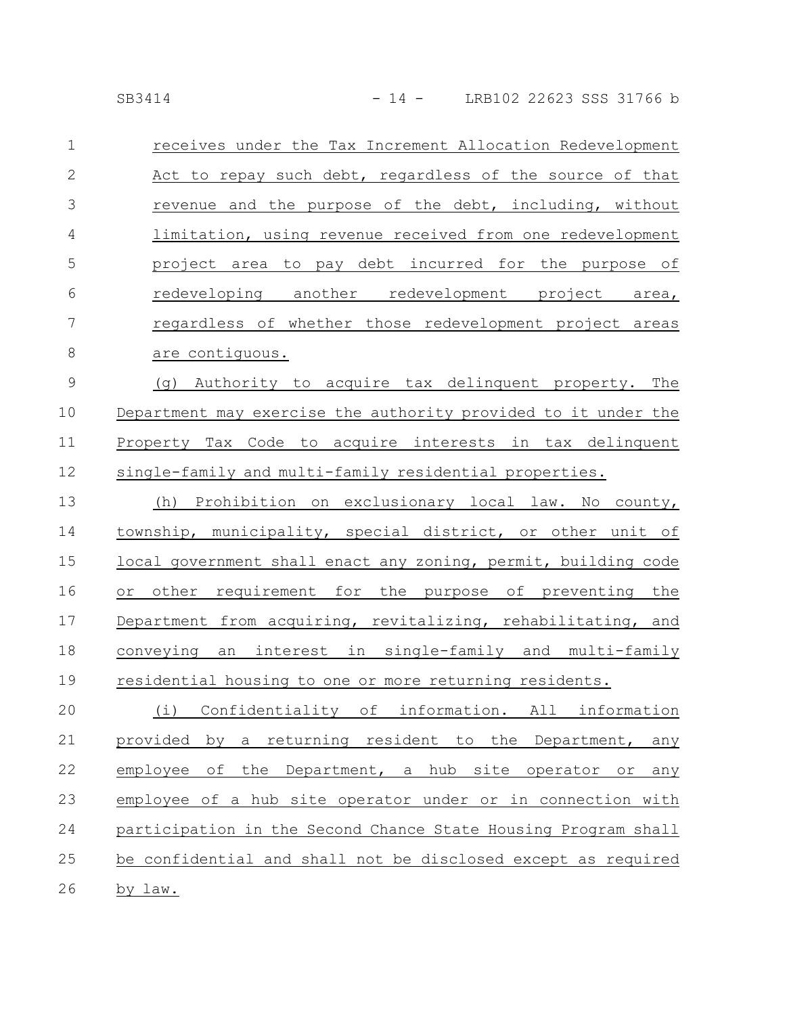|--|--|--|--|--|--|

| $\mathbf{1}$   | receives under the Tax Increment Allocation Redevelopment |
|----------------|-----------------------------------------------------------|
| $\overline{2}$ | Act to repay such debt, regardless of the source of that  |
| 3              | revenue and the purpose of the debt, including, without   |
| 4              | limitation, using revenue received from one redevelopment |
| 5              | project area to pay debt incurred for the purpose of      |
| 6              | redeveloping another redevelopment project area,          |
| 7              | regardless of whether those redevelopment project areas   |
| 8              | are contiquous.                                           |

(g) Authority to acquire tax delinquent property. The Department may exercise the authority provided to it under the Property Tax Code to acquire interests in tax delinquent single-family and multi-family residential properties. 9 10 11 12

(h) Prohibition on exclusionary local law. No county, township, municipality, special district, or other unit of local government shall enact any zoning, permit, building code or other requirement for the purpose of preventing the Department from acquiring, revitalizing, rehabilitating, and conveying an interest in single-family and multi-family residential housing to one or more returning residents. 13 14 15 16 17 18 19

(i) Confidentiality of information. All information provided by a returning resident to the Department, any employee of the Department, a hub site operator or any employee of a hub site operator under or in connection with participation in the Second Chance State Housing Program shall be confidential and shall not be disclosed except as required by law. 20 21 22 23 24 25 26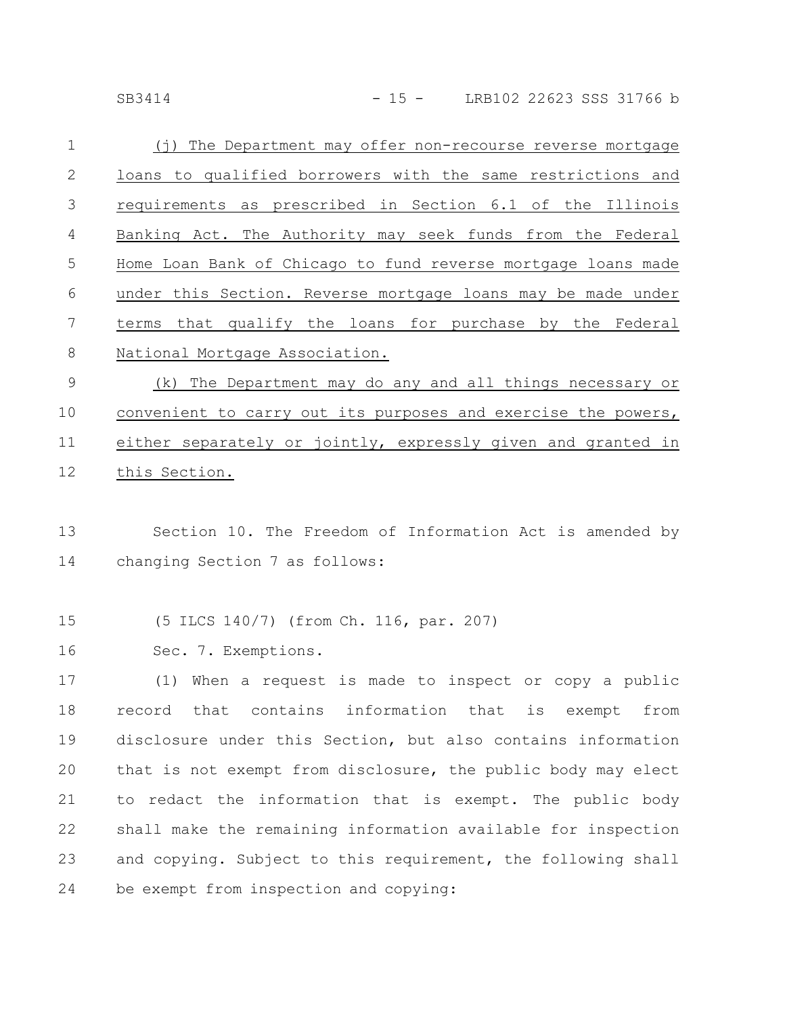SB3414 - 15 - LRB102 22623 SSS 31766 b

| $\mathbf{1}$   | (j) The Department may offer non-recourse reverse mortgage    |
|----------------|---------------------------------------------------------------|
| 2              | loans to qualified borrowers with the same restrictions and   |
| 3              | requirements as prescribed in Section 6.1 of the Illinois     |
| $\overline{4}$ | Banking Act. The Authority may seek funds from the Federal    |
| 5              | Home Loan Bank of Chicago to fund reverse mortgage loans made |
| 6              | under this Section. Reverse mortgage loans may be made under  |
| 7              | terms that qualify the loans for purchase by the Federal      |
| 8              | National Mortgage Association.                                |
|                |                                                               |

(k) The Department may do any and all things necessary or convenient to carry out its purposes and exercise the powers, either separately or jointly, expressly given and granted in this Section. 9 10 11 12

Section 10. The Freedom of Information Act is amended by changing Section 7 as follows: 13 14

(5 ILCS 140/7) (from Ch. 116, par. 207) 15

Sec. 7. Exemptions. 16

(1) When a request is made to inspect or copy a public record that contains information that is exempt from disclosure under this Section, but also contains information that is not exempt from disclosure, the public body may elect to redact the information that is exempt. The public body shall make the remaining information available for inspection and copying. Subject to this requirement, the following shall be exempt from inspection and copying: 17 18 19 20 21 22 23 24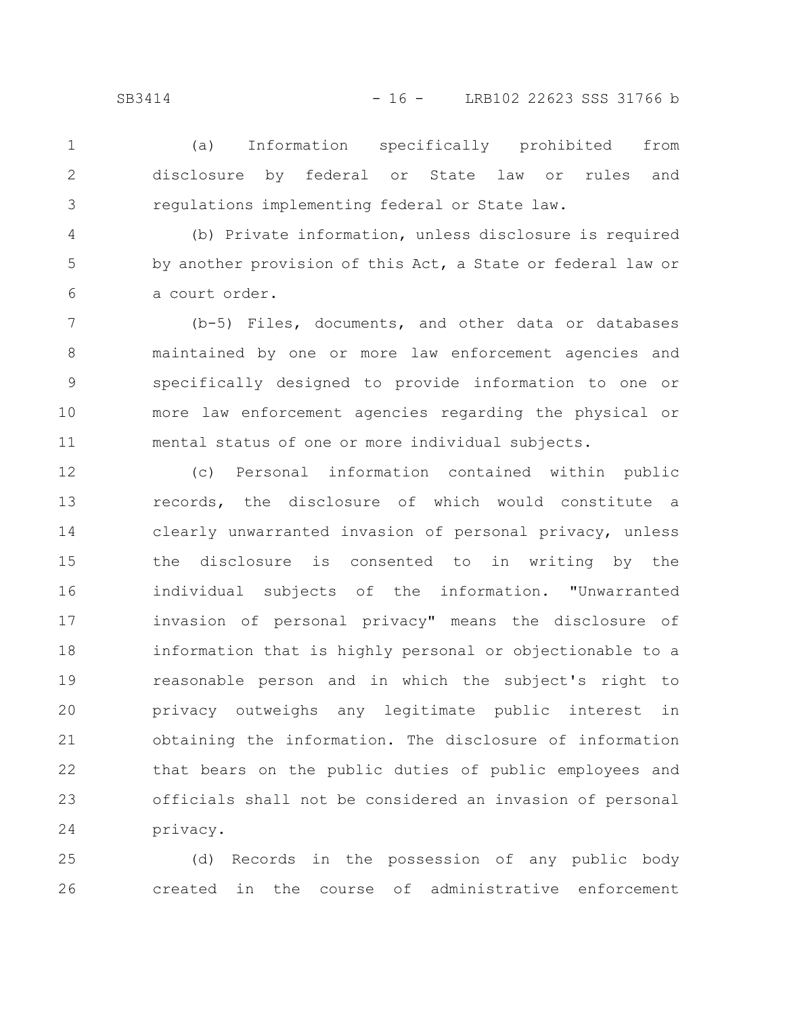(a) Information specifically prohibited from disclosure by federal or State law or rules and regulations implementing federal or State law.

3 4

5

6

1

2

(b) Private information, unless disclosure is required by another provision of this Act, a State or federal law or a court order.

(b-5) Files, documents, and other data or databases maintained by one or more law enforcement agencies and specifically designed to provide information to one or more law enforcement agencies regarding the physical or mental status of one or more individual subjects. 7 8 9 10 11

(c) Personal information contained within public records, the disclosure of which would constitute a clearly unwarranted invasion of personal privacy, unless the disclosure is consented to in writing by the individual subjects of the information. "Unwarranted invasion of personal privacy" means the disclosure of information that is highly personal or objectionable to a reasonable person and in which the subject's right to privacy outweighs any legitimate public interest in obtaining the information. The disclosure of information that bears on the public duties of public employees and officials shall not be considered an invasion of personal privacy. 12 13 14 15 16 17 18 19 20 21 22 23 24

(d) Records in the possession of any public body created in the course of administrative enforcement 25 26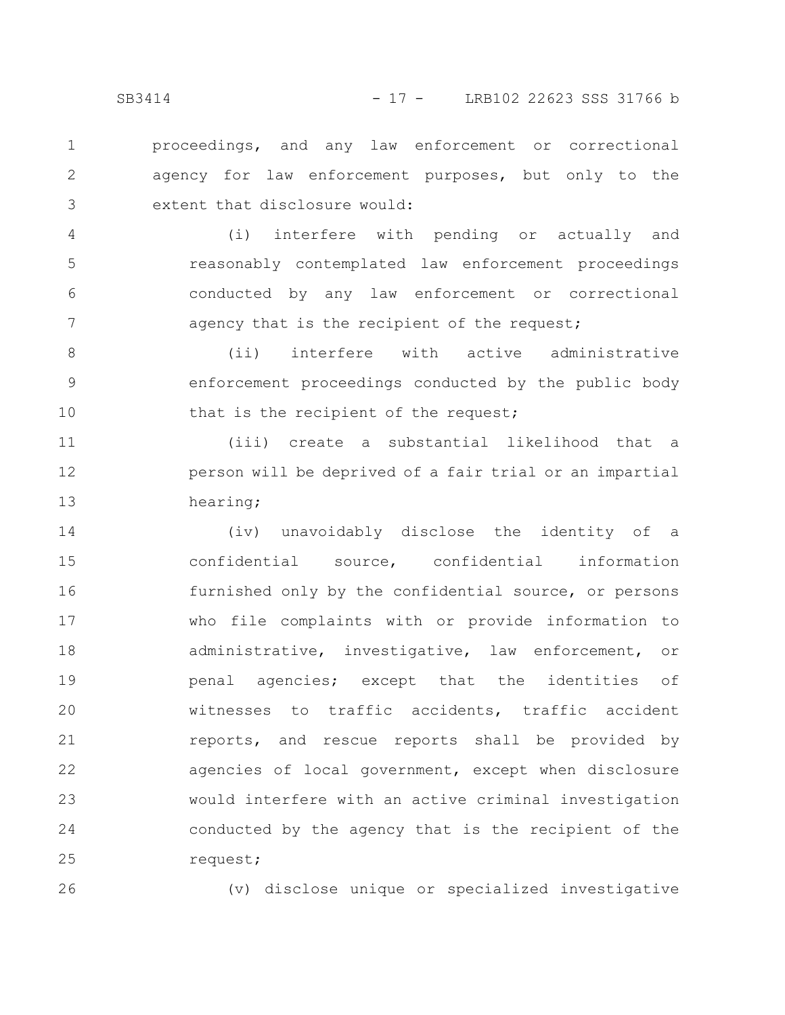proceedings, and any law enforcement or correctional agency for law enforcement purposes, but only to the extent that disclosure would: 1 2 3

(i) interfere with pending or actually and reasonably contemplated law enforcement proceedings conducted by any law enforcement or correctional agency that is the recipient of the request; 4 5 6 7

(ii) interfere with active administrative enforcement proceedings conducted by the public body that is the recipient of the request; 8 9 10

(iii) create a substantial likelihood that a person will be deprived of a fair trial or an impartial hearing; 11 12 13

(iv) unavoidably disclose the identity of a confidential source, confidential information furnished only by the confidential source, or persons who file complaints with or provide information to administrative, investigative, law enforcement, or penal agencies; except that the identities of witnesses to traffic accidents, traffic accident reports, and rescue reports shall be provided by agencies of local government, except when disclosure would interfere with an active criminal investigation conducted by the agency that is the recipient of the request; 14 15 16 17 18 19 20 21 22 23 24 25

26

(v) disclose unique or specialized investigative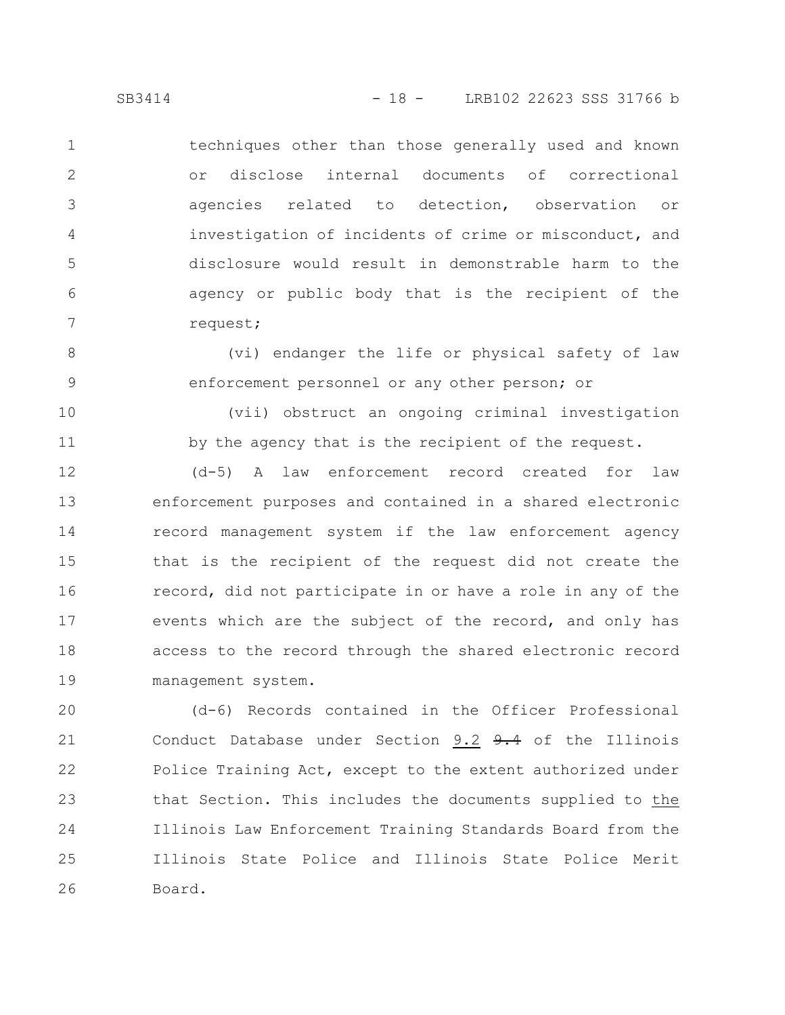techniques other than those generally used and known or disclose internal documents of correctional agencies related to detection, observation or investigation of incidents of crime or misconduct, and disclosure would result in demonstrable harm to the agency or public body that is the recipient of the request; 1 2 3 4 5 6 7

(vi) endanger the life or physical safety of law enforcement personnel or any other person; or

(vii) obstruct an ongoing criminal investigation by the agency that is the recipient of the request.

(d-5) A law enforcement record created for law enforcement purposes and contained in a shared electronic record management system if the law enforcement agency that is the recipient of the request did not create the record, did not participate in or have a role in any of the events which are the subject of the record, and only has access to the record through the shared electronic record management system. 12 13 14 15 16 17 18 19

(d-6) Records contained in the Officer Professional Conduct Database under Section 9.2 9.4 of the Illinois Police Training Act, except to the extent authorized under that Section. This includes the documents supplied to the Illinois Law Enforcement Training Standards Board from the Illinois State Police and Illinois State Police Merit Board. 20 21 22 23 24 25 26

8

9

10

11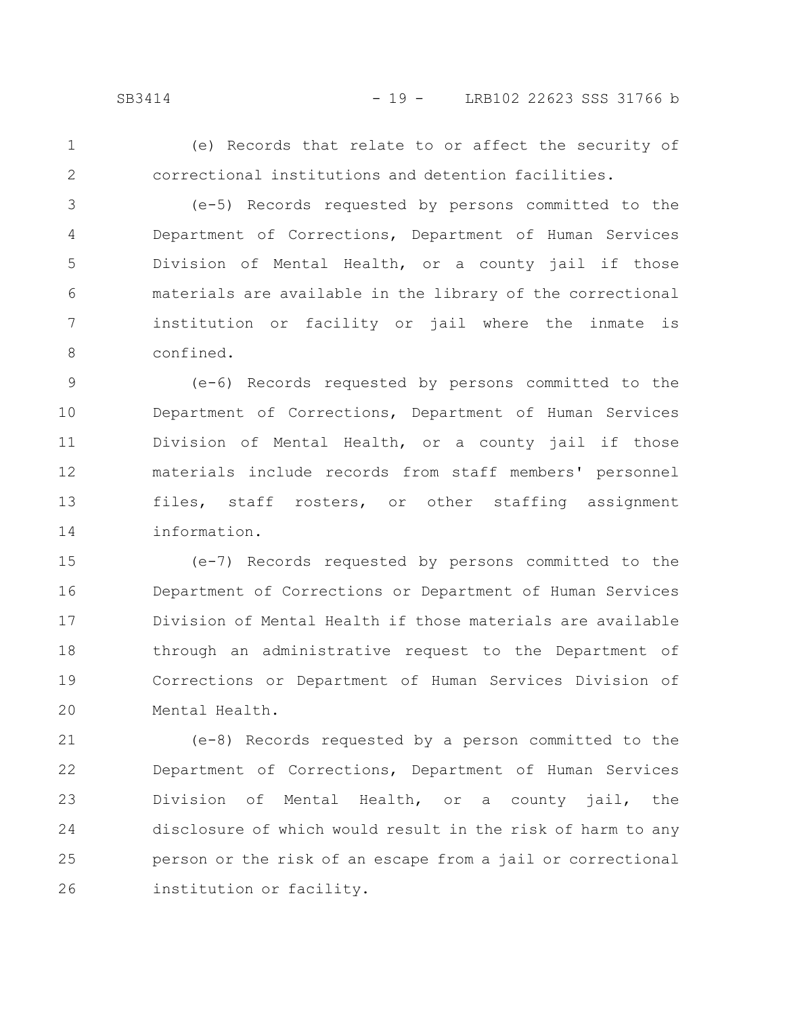1

2

(e) Records that relate to or affect the security of correctional institutions and detention facilities.

(e-5) Records requested by persons committed to the Department of Corrections, Department of Human Services Division of Mental Health, or a county jail if those materials are available in the library of the correctional institution or facility or jail where the inmate is confined. 3 4 5 6 7 8

(e-6) Records requested by persons committed to the Department of Corrections, Department of Human Services Division of Mental Health, or a county jail if those materials include records from staff members' personnel files, staff rosters, or other staffing assignment information. 9 10 11 12 13 14

(e-7) Records requested by persons committed to the Department of Corrections or Department of Human Services Division of Mental Health if those materials are available through an administrative request to the Department of Corrections or Department of Human Services Division of Mental Health. 15 16 17 18 19 20

(e-8) Records requested by a person committed to the Department of Corrections, Department of Human Services Division of Mental Health, or a county jail, the disclosure of which would result in the risk of harm to any person or the risk of an escape from a jail or correctional institution or facility. 21 22 23 24 25 26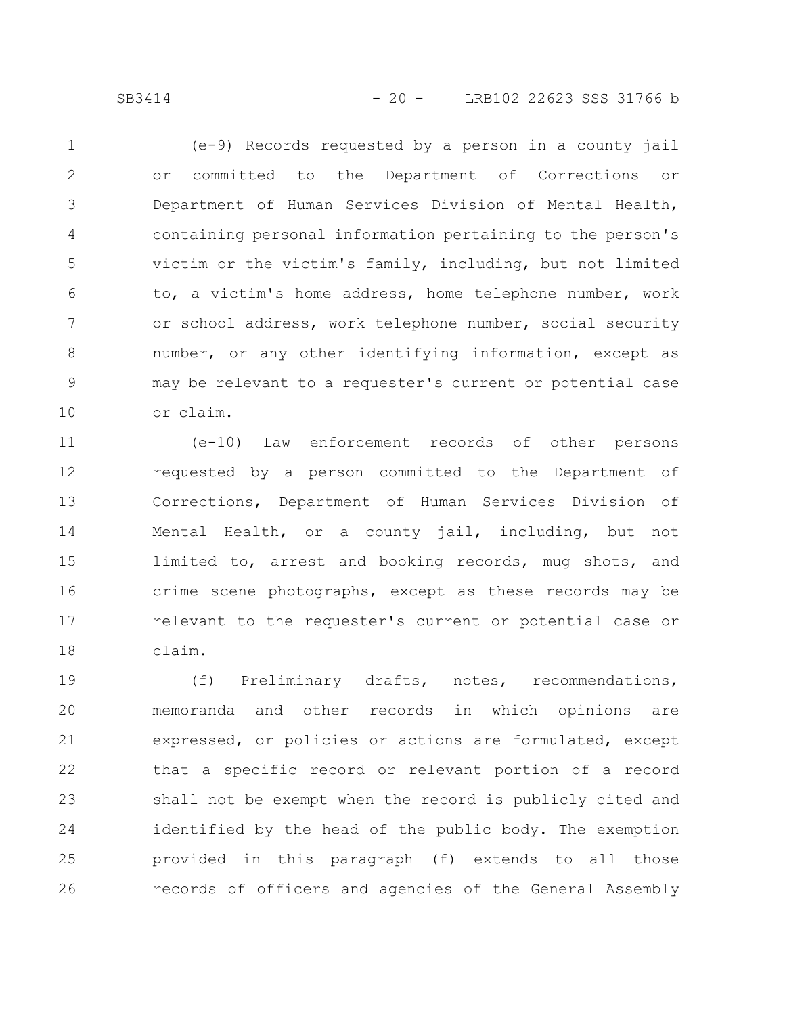(e-9) Records requested by a person in a county jail or committed to the Department of Corrections or Department of Human Services Division of Mental Health, containing personal information pertaining to the person's victim or the victim's family, including, but not limited to, a victim's home address, home telephone number, work or school address, work telephone number, social security number, or any other identifying information, except as may be relevant to a requester's current or potential case or claim. 1 2 3 4 5 6 7 8 9 10

(e-10) Law enforcement records of other persons requested by a person committed to the Department of Corrections, Department of Human Services Division of Mental Health, or a county jail, including, but not limited to, arrest and booking records, mug shots, and crime scene photographs, except as these records may be relevant to the requester's current or potential case or claim. 11 12 13 14 15 16 17 18

(f) Preliminary drafts, notes, recommendations, memoranda and other records in which opinions are expressed, or policies or actions are formulated, except that a specific record or relevant portion of a record shall not be exempt when the record is publicly cited and identified by the head of the public body. The exemption provided in this paragraph (f) extends to all those records of officers and agencies of the General Assembly 19 20 21 22 23 24 25 26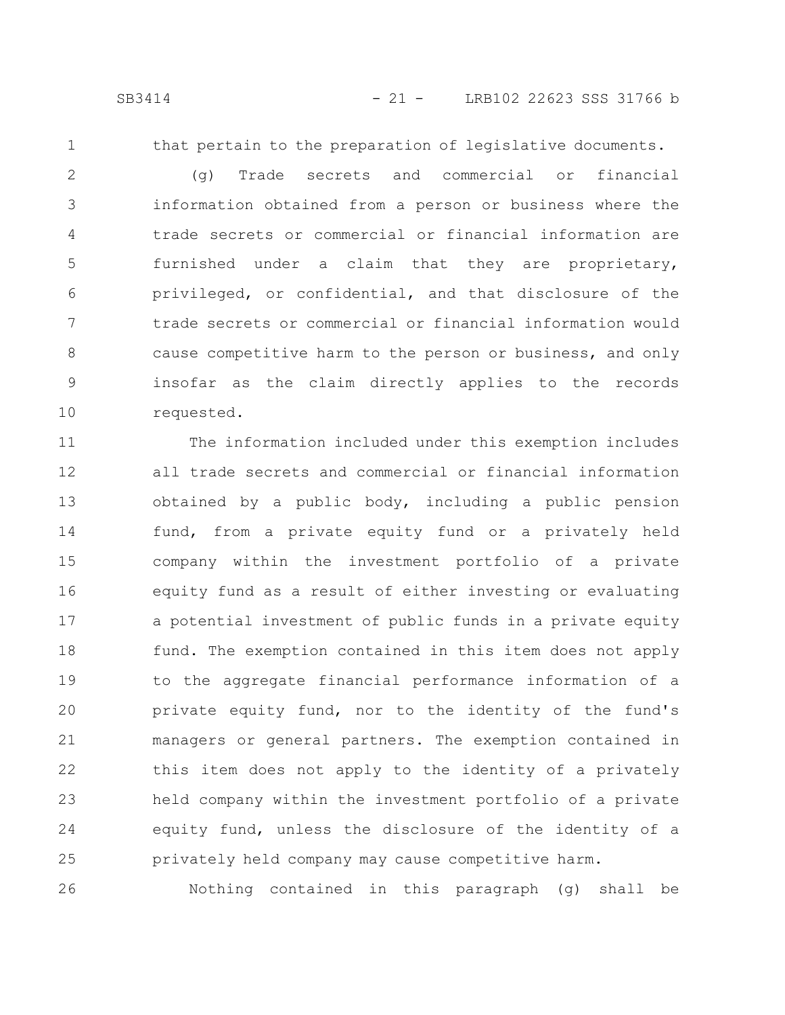1

that pertain to the preparation of legislative documents.

(g) Trade secrets and commercial or financial information obtained from a person or business where the trade secrets or commercial or financial information are furnished under a claim that they are proprietary, privileged, or confidential, and that disclosure of the trade secrets or commercial or financial information would cause competitive harm to the person or business, and only insofar as the claim directly applies to the records requested. 2 3 4 5 6 7 8 9 10

The information included under this exemption includes all trade secrets and commercial or financial information obtained by a public body, including a public pension fund, from a private equity fund or a privately held company within the investment portfolio of a private equity fund as a result of either investing or evaluating a potential investment of public funds in a private equity fund. The exemption contained in this item does not apply to the aggregate financial performance information of a private equity fund, nor to the identity of the fund's managers or general partners. The exemption contained in this item does not apply to the identity of a privately held company within the investment portfolio of a private equity fund, unless the disclosure of the identity of a privately held company may cause competitive harm. 11 12 13 14 15 16 17 18 19 20 21 22 23 24 25

Nothing contained in this paragraph (g) shall be 26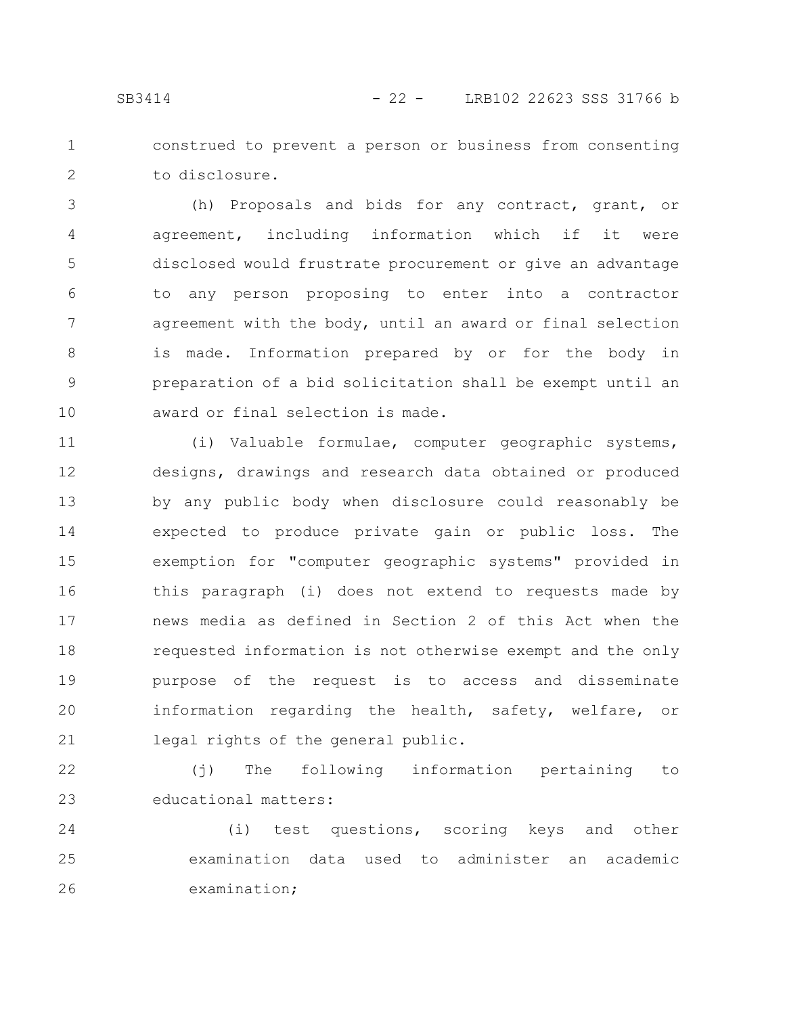construed to prevent a person or business from consenting to disclosure. 1 2

(h) Proposals and bids for any contract, grant, or agreement, including information which if it were disclosed would frustrate procurement or give an advantage to any person proposing to enter into a contractor agreement with the body, until an award or final selection is made. Information prepared by or for the body in preparation of a bid solicitation shall be exempt until an award or final selection is made. 3 4 5 6 7 8 9 10

(i) Valuable formulae, computer geographic systems, designs, drawings and research data obtained or produced by any public body when disclosure could reasonably be expected to produce private gain or public loss. The exemption for "computer geographic systems" provided in this paragraph (i) does not extend to requests made by news media as defined in Section 2 of this Act when the requested information is not otherwise exempt and the only purpose of the request is to access and disseminate information regarding the health, safety, welfare, or legal rights of the general public. 11 12 13 14 15 16 17 18 19 20 21

(j) The following information pertaining to educational matters: 22 23

(i) test questions, scoring keys and other examination data used to administer an academic examination; 24 25 26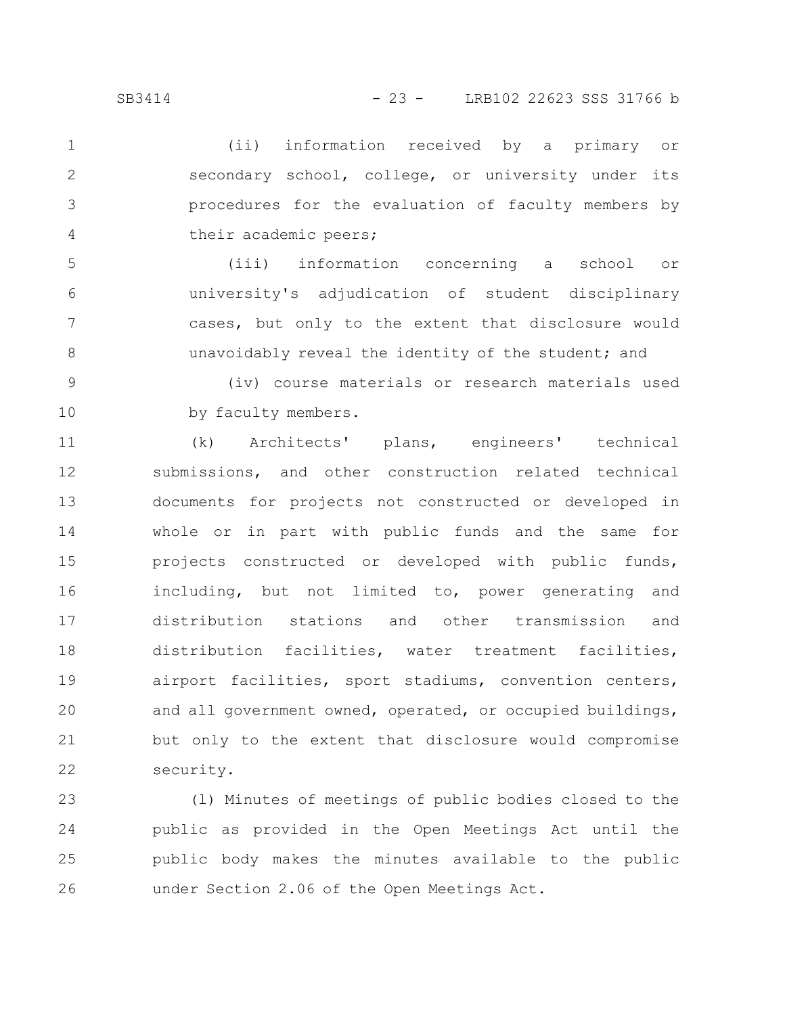(ii) information received by a primary or secondary school, college, or university under its procedures for the evaluation of faculty members by their academic peers; 1 2 3 4

(iii) information concerning a school or university's adjudication of student disciplinary cases, but only to the extent that disclosure would unavoidably reveal the identity of the student; and 5 6 7 8

(iv) course materials or research materials used by faculty members. 9 10

(k) Architects' plans, engineers' technical submissions, and other construction related technical documents for projects not constructed or developed in whole or in part with public funds and the same for projects constructed or developed with public funds, including, but not limited to, power generating and distribution stations and other transmission and distribution facilities, water treatment facilities, airport facilities, sport stadiums, convention centers, and all government owned, operated, or occupied buildings, but only to the extent that disclosure would compromise security. 11 12 13 14 15 16 17 18 19 20 21 22

(l) Minutes of meetings of public bodies closed to the public as provided in the Open Meetings Act until the public body makes the minutes available to the public under Section 2.06 of the Open Meetings Act. 23 24 25 26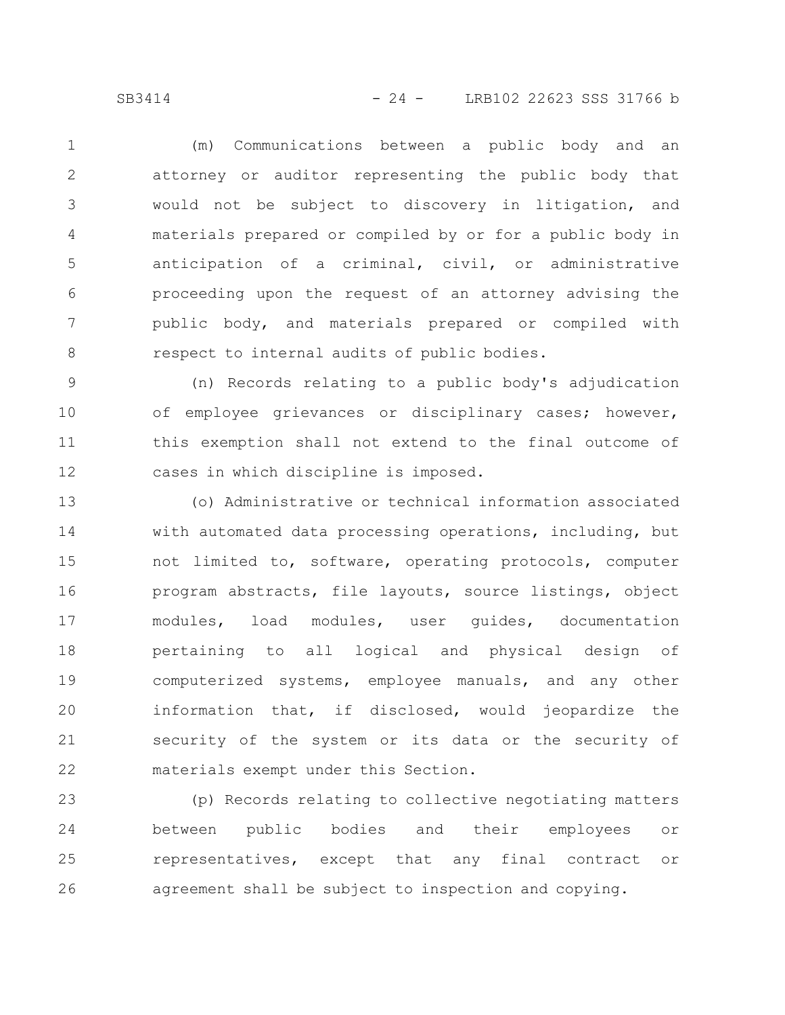(m) Communications between a public body and an attorney or auditor representing the public body that would not be subject to discovery in litigation, and materials prepared or compiled by or for a public body in anticipation of a criminal, civil, or administrative proceeding upon the request of an attorney advising the public body, and materials prepared or compiled with respect to internal audits of public bodies. 1 2 3 4 5 6 7 8

(n) Records relating to a public body's adjudication of employee grievances or disciplinary cases; however, this exemption shall not extend to the final outcome of cases in which discipline is imposed. 9 10 11 12

(o) Administrative or technical information associated with automated data processing operations, including, but not limited to, software, operating protocols, computer program abstracts, file layouts, source listings, object modules, load modules, user guides, documentation pertaining to all logical and physical design of computerized systems, employee manuals, and any other information that, if disclosed, would jeopardize the security of the system or its data or the security of materials exempt under this Section. 13 14 15 16 17 18 19 20 21 22

(p) Records relating to collective negotiating matters between public bodies and their employees or representatives, except that any final contract or agreement shall be subject to inspection and copying. 23 24 25 26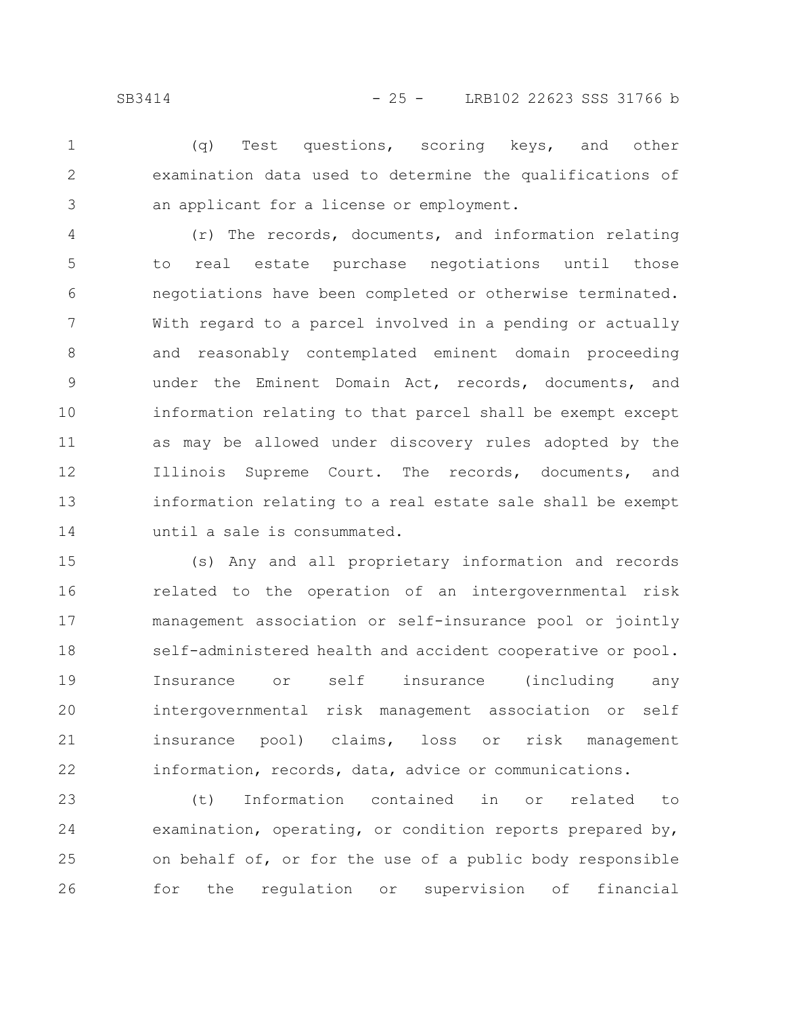(q) Test questions, scoring keys, and other examination data used to determine the qualifications of an applicant for a license or employment. 1 2 3

(r) The records, documents, and information relating to real estate purchase negotiations until those negotiations have been completed or otherwise terminated. With regard to a parcel involved in a pending or actually and reasonably contemplated eminent domain proceeding under the Eminent Domain Act, records, documents, and information relating to that parcel shall be exempt except as may be allowed under discovery rules adopted by the Illinois Supreme Court. The records, documents, and information relating to a real estate sale shall be exempt until a sale is consummated. 4 5 6 7 8 9 10 11 12 13 14

(s) Any and all proprietary information and records related to the operation of an intergovernmental risk management association or self-insurance pool or jointly self-administered health and accident cooperative or pool. Insurance or self insurance (including any intergovernmental risk management association or self insurance pool) claims, loss or risk management information, records, data, advice or communications. 15 16 17 18 19 20 21 22

(t) Information contained in or related to examination, operating, or condition reports prepared by, on behalf of, or for the use of a public body responsible for the regulation or supervision of financial 23 24 25 26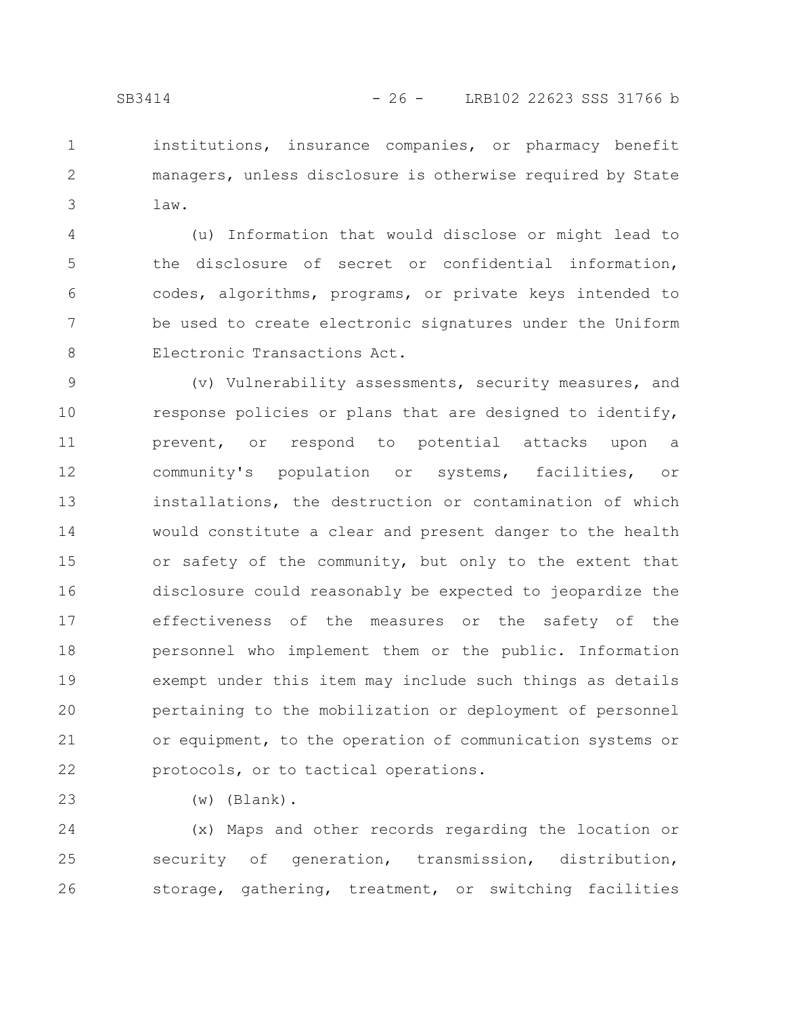institutions, insurance companies, or pharmacy benefit managers, unless disclosure is otherwise required by State law. 1 2 3

(u) Information that would disclose or might lead to the disclosure of secret or confidential information, codes, algorithms, programs, or private keys intended to be used to create electronic signatures under the Uniform Electronic Transactions Act. 4 5 6 7 8

(v) Vulnerability assessments, security measures, and response policies or plans that are designed to identify, prevent, or respond to potential attacks upon a community's population or systems, facilities, or installations, the destruction or contamination of which would constitute a clear and present danger to the health or safety of the community, but only to the extent that disclosure could reasonably be expected to jeopardize the effectiveness of the measures or the safety of the personnel who implement them or the public. Information exempt under this item may include such things as details pertaining to the mobilization or deployment of personnel or equipment, to the operation of communication systems or protocols, or to tactical operations. 9 10 11 12 13 14 15 16 17 18 19 20 21 22

(w) (Blank).

23

(x) Maps and other records regarding the location or security of generation, transmission, distribution, storage, gathering, treatment, or switching facilities 24 25 26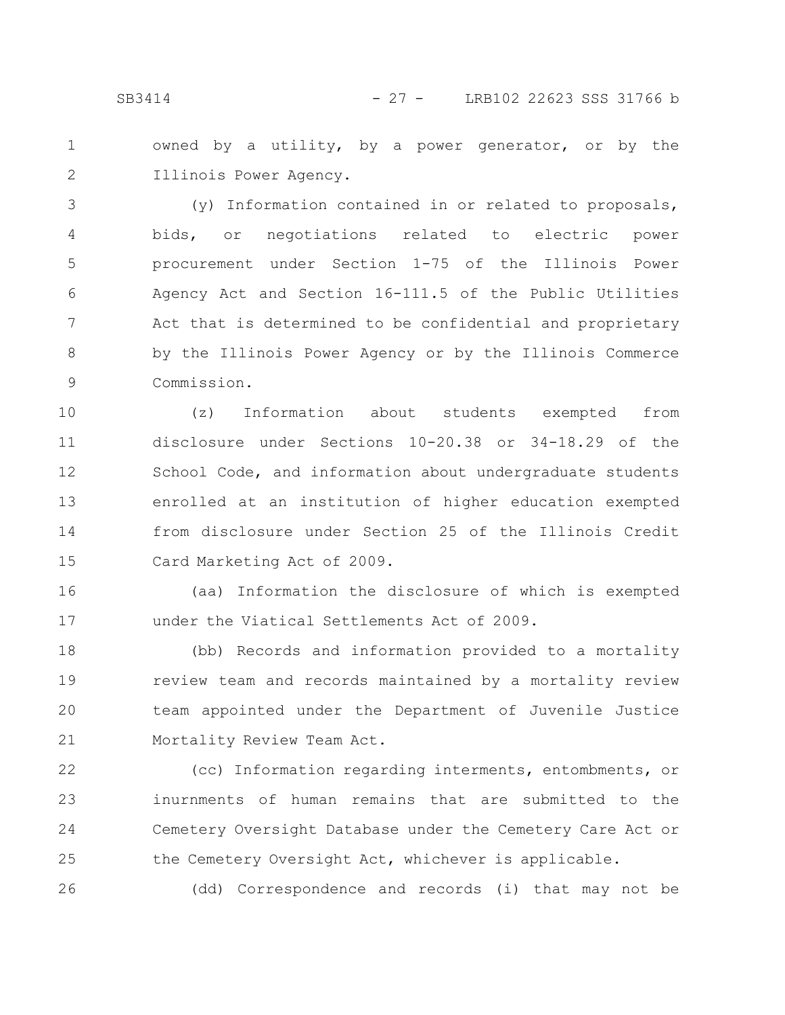owned by a utility, by a power generator, or by the Illinois Power Agency. 1 2

(y) Information contained in or related to proposals, bids, or negotiations related to electric power procurement under Section 1-75 of the Illinois Power Agency Act and Section 16-111.5 of the Public Utilities Act that is determined to be confidential and proprietary by the Illinois Power Agency or by the Illinois Commerce Commission. 3 4 5 6 7 8 9

(z) Information about students exempted from disclosure under Sections 10-20.38 or 34-18.29 of the School Code, and information about undergraduate students enrolled at an institution of higher education exempted from disclosure under Section 25 of the Illinois Credit Card Marketing Act of 2009. 10 11 12 13 14 15

(aa) Information the disclosure of which is exempted under the Viatical Settlements Act of 2009. 16 17

(bb) Records and information provided to a mortality review team and records maintained by a mortality review team appointed under the Department of Juvenile Justice Mortality Review Team Act. 18 19 20 21

(cc) Information regarding interments, entombments, or inurnments of human remains that are submitted to the Cemetery Oversight Database under the Cemetery Care Act or the Cemetery Oversight Act, whichever is applicable. 22 23 24 25

(dd) Correspondence and records (i) that may not be

26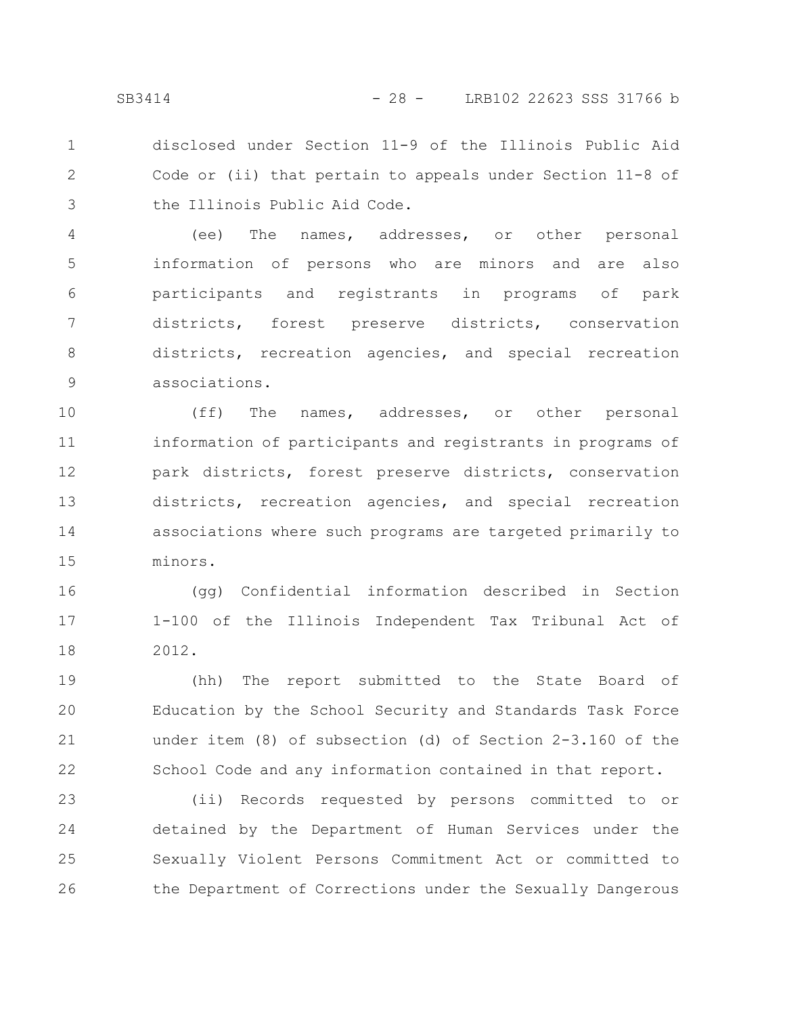disclosed under Section 11-9 of the Illinois Public Aid Code or (ii) that pertain to appeals under Section 11-8 of the Illinois Public Aid Code. 1 2 3

(ee) The names, addresses, or other personal information of persons who are minors and are also participants and registrants in programs of park districts, forest preserve districts, conservation districts, recreation agencies, and special recreation associations. 4 5 6 7 8 9

(ff) The names, addresses, or other personal information of participants and registrants in programs of park districts, forest preserve districts, conservation districts, recreation agencies, and special recreation associations where such programs are targeted primarily to minors. 10 11 12 13 14 15

(gg) Confidential information described in Section 1-100 of the Illinois Independent Tax Tribunal Act of 2012. 16 17 18

(hh) The report submitted to the State Board of Education by the School Security and Standards Task Force under item (8) of subsection (d) of Section 2-3.160 of the School Code and any information contained in that report. 19 20 21 22

(ii) Records requested by persons committed to or detained by the Department of Human Services under the Sexually Violent Persons Commitment Act or committed to the Department of Corrections under the Sexually Dangerous 23 24 25 26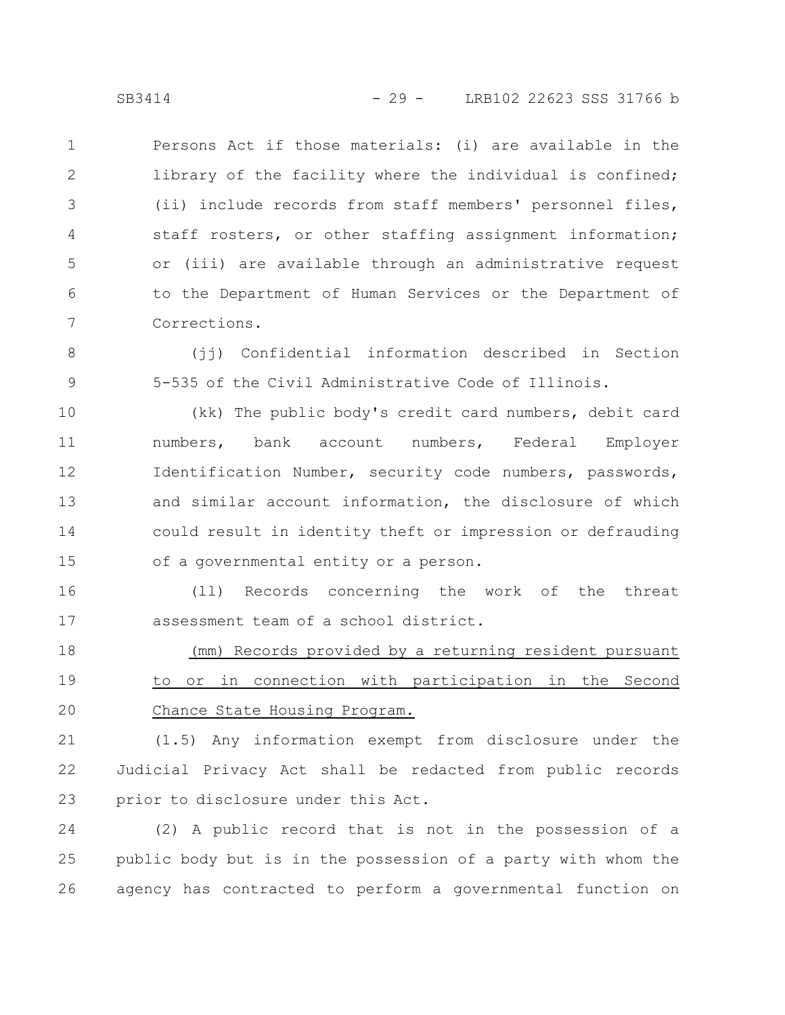Persons Act if those materials: (i) are available in the library of the facility where the individual is confined; (ii) include records from staff members' personnel files, staff rosters, or other staffing assignment information; or (iii) are available through an administrative request to the Department of Human Services or the Department of Corrections. 1 2 3 4 5 6 7

(jj) Confidential information described in Section 5-535 of the Civil Administrative Code of Illinois. 8 9

(kk) The public body's credit card numbers, debit card numbers, bank account numbers, Federal Employer Identification Number, security code numbers, passwords, and similar account information, the disclosure of which could result in identity theft or impression or defrauding of a governmental entity or a person. 10 11 12 13 14 15

(ll) Records concerning the work of the threat assessment team of a school district. 16 17

(mm) Records provided by a returning resident pursuant to or in connection with participation in the Second Chance State Housing Program. 18 19 20

(1.5) Any information exempt from disclosure under the Judicial Privacy Act shall be redacted from public records prior to disclosure under this Act. 21 22 23

(2) A public record that is not in the possession of a public body but is in the possession of a party with whom the agency has contracted to perform a governmental function on 24 25 26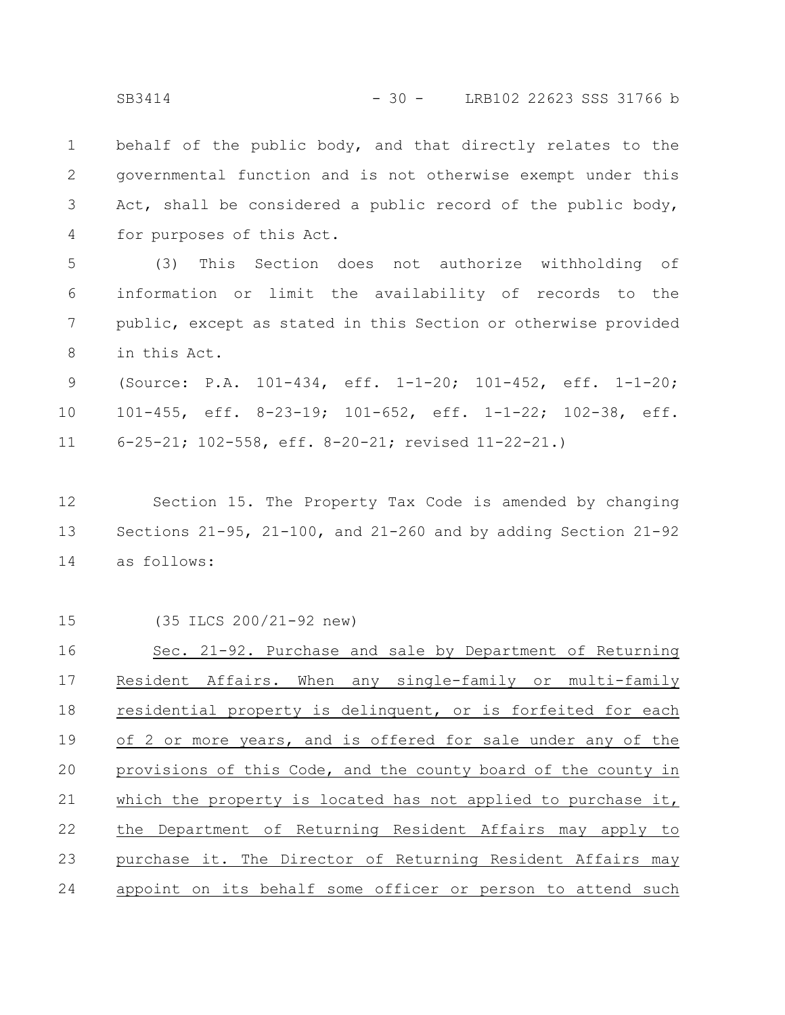behalf of the public body, and that directly relates to the governmental function and is not otherwise exempt under this Act, shall be considered a public record of the public body, for purposes of this Act. 1 2 3 4

(3) This Section does not authorize withholding of information or limit the availability of records to the public, except as stated in this Section or otherwise provided in this Act. 5 6 7 8

(Source: P.A. 101-434, eff. 1-1-20; 101-452, eff. 1-1-20; 101-455, eff. 8-23-19; 101-652, eff. 1-1-22; 102-38, eff. 6-25-21; 102-558, eff. 8-20-21; revised 11-22-21.) 9 10 11

Section 15. The Property Tax Code is amended by changing Sections 21-95, 21-100, and 21-260 and by adding Section 21-92 as follows: 12 13 14

(35 ILCS 200/21-92 new) Sec. 21-92. Purchase and sale by Department of Returning Resident Affairs. When any single-family or multi-family residential property is delinquent, or is forfeited for each of 2 or more years, and is offered for sale under any of the provisions of this Code, and the county board of the county in which the property is located has not applied to purchase it, the Department of Returning Resident Affairs may apply to purchase it. The Director of Returning Resident Affairs may appoint on its behalf some officer or person to attend such 15 16 17 18 19 20 21 22 23 24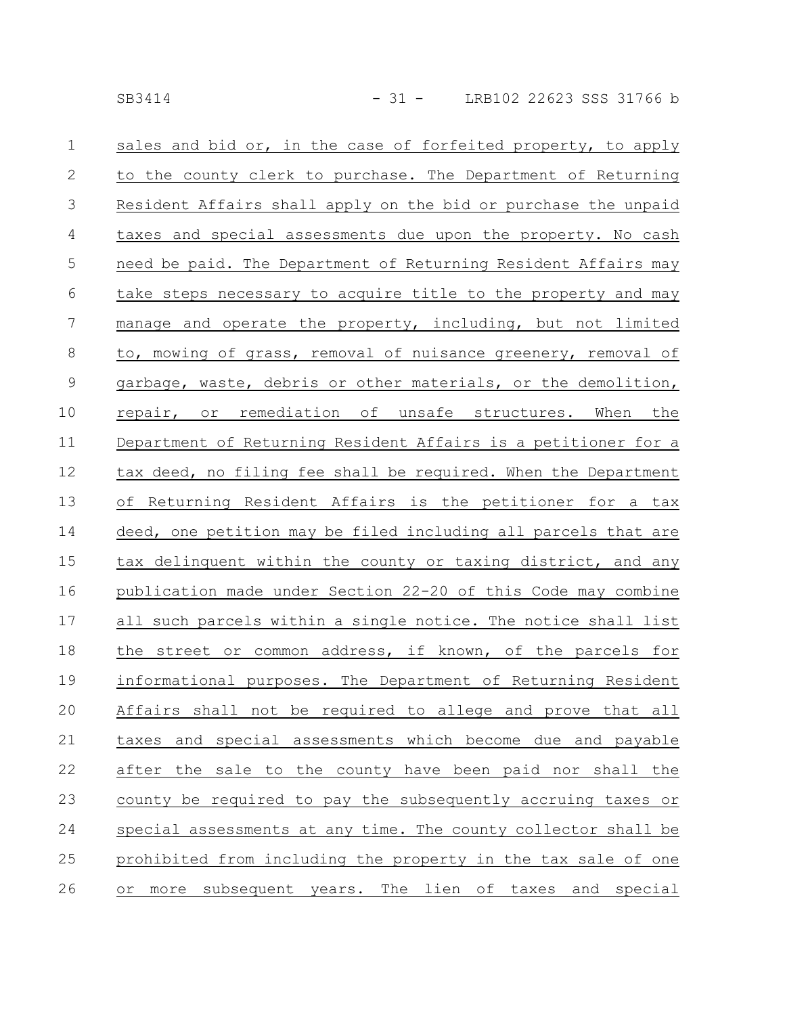| $\mathbf{1}$    | sales and bid or, in the case of forfeited property, to apply  |
|-----------------|----------------------------------------------------------------|
| $\mathbf{2}$    | to the county clerk to purchase. The Department of Returning   |
| $\mathfrak{Z}$  | Resident Affairs shall apply on the bid or purchase the unpaid |
| 4               | taxes and special assessments due upon the property. No cash   |
| $\overline{5}$  | need be paid. The Department of Returning Resident Affairs may |
| $\sqrt{6}$      | take steps necessary to acquire title to the property and may  |
| $7\phantom{.0}$ | manage and operate the property, including, but not limited    |
| $8\,$           | to, mowing of grass, removal of nuisance greenery, removal of  |
| $\mathsf 9$     | garbage, waste, debris or other materials, or the demolition,  |
| 10              | repair, or remediation of unsafe structures. When the          |
| 11              | Department of Returning Resident Affairs is a petitioner for a |
| 12              | tax deed, no filing fee shall be required. When the Department |
| 13              | of Returning Resident Affairs is the petitioner for a tax      |
| 14              | deed, one petition may be filed including all parcels that are |
| 15              | tax delinquent within the county or taxing district, and any   |
| 16              | publication made under Section 22-20 of this Code may combine  |
| 17              | all such parcels within a single notice. The notice shall list |
| 18              | the street or common address, if known, of the parcels for     |
| 19              | informational purposes. The Department of Returning Resident   |
| 20              | Affairs shall not be required to allege and prove that all     |
| 21              | taxes and special assessments which become due and payable     |
| 22              | after the sale to the county have been paid nor shall the      |
| 23              | county be required to pay the subsequently accruing taxes or   |
| 24              | special assessments at any time. The county collector shall be |
| 25              | prohibited from including the property in the tax sale of one  |
| 26              | or more subsequent years. The lien of taxes and special        |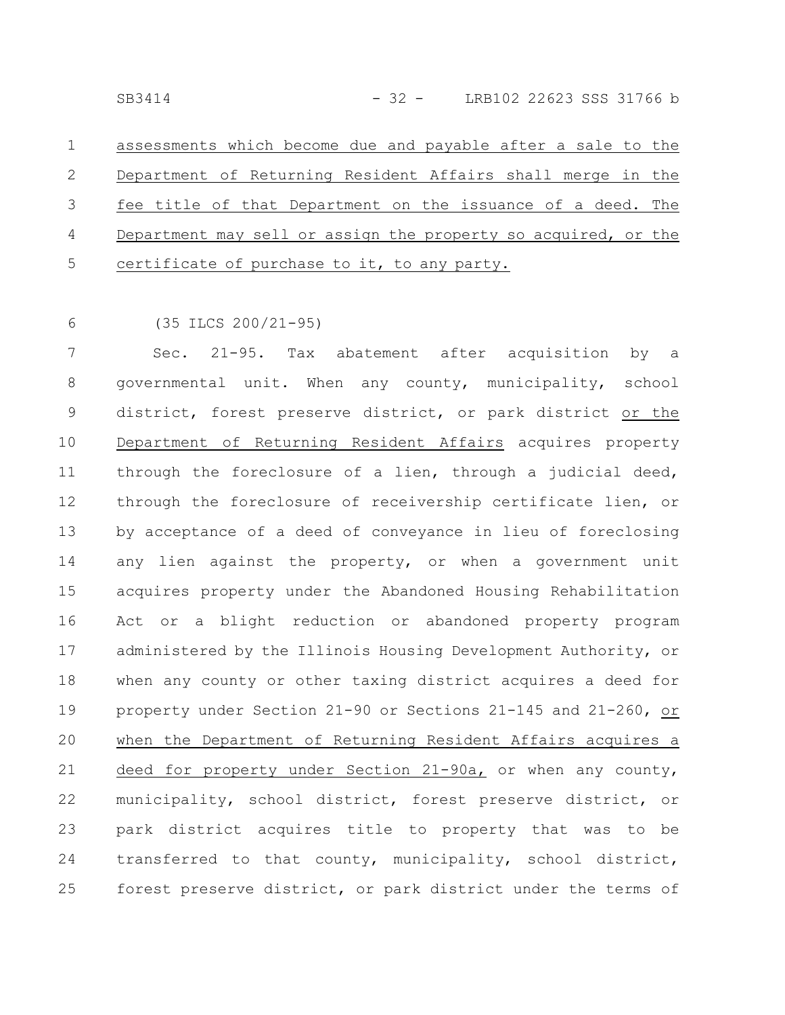assessments which become due and payable after a sale to the Department of Returning Resident Affairs shall merge in the fee title of that Department on the issuance of a deed. The Department may sell or assign the property so acquired, or the certificate of purchase to it, to any party. 1 2 3 4 5

(35 ILCS 200/21-95) 6

Sec. 21-95. Tax abatement after acquisition by a governmental unit. When any county, municipality, school district, forest preserve district, or park district or the Department of Returning Resident Affairs acquires property through the foreclosure of a lien, through a judicial deed, through the foreclosure of receivership certificate lien, or by acceptance of a deed of conveyance in lieu of foreclosing any lien against the property, or when a government unit acquires property under the Abandoned Housing Rehabilitation Act or a blight reduction or abandoned property program administered by the Illinois Housing Development Authority, or when any county or other taxing district acquires a deed for property under Section 21-90 or Sections 21-145 and 21-260, or when the Department of Returning Resident Affairs acquires a deed for property under Section 21-90a, or when any county, municipality, school district, forest preserve district, or park district acquires title to property that was to be transferred to that county, municipality, school district, forest preserve district, or park district under the terms of 7 8 9 10 11 12 13 14 15 16 17 18 19 20 21 22 23 24 25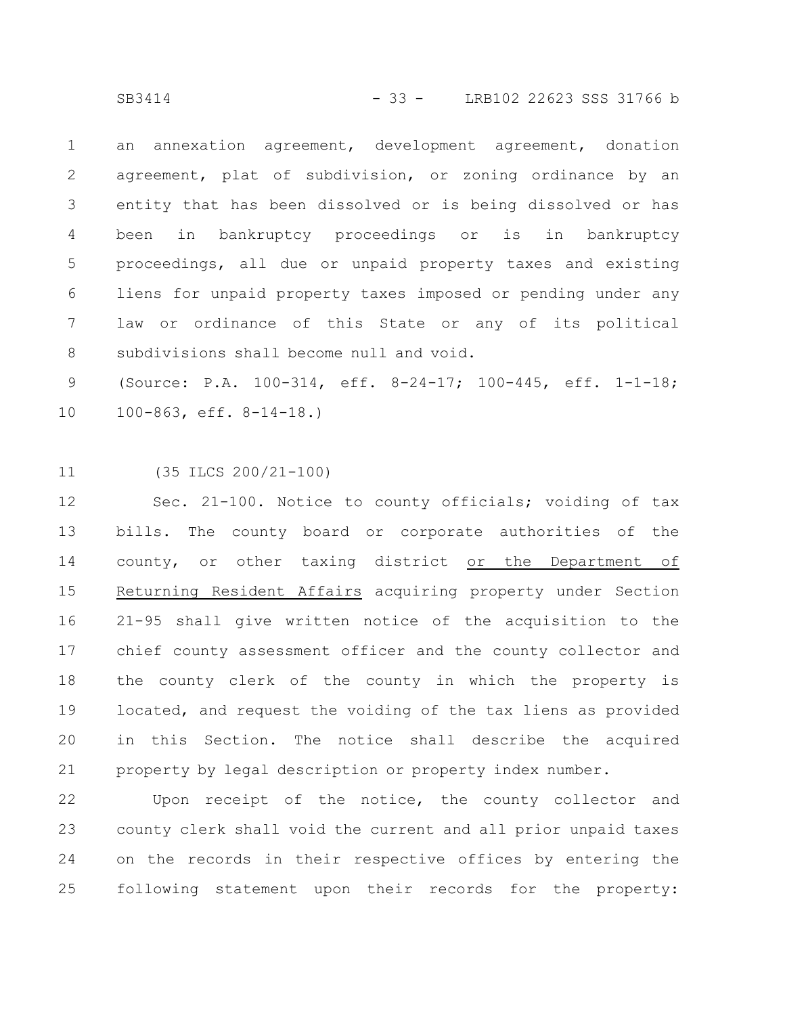an annexation agreement, development agreement, donation agreement, plat of subdivision, or zoning ordinance by an entity that has been dissolved or is being dissolved or has been in bankruptcy proceedings or is in bankruptcy proceedings, all due or unpaid property taxes and existing liens for unpaid property taxes imposed or pending under any law or ordinance of this State or any of its political subdivisions shall become null and void. 1 2 3 4 5 6 7 8

(Source: P.A. 100-314, eff. 8-24-17; 100-445, eff. 1-1-18; 100-863, eff. 8-14-18.) 9 10

(35 ILCS 200/21-100) 11

Sec. 21-100. Notice to county officials; voiding of tax bills. The county board or corporate authorities of the county, or other taxing district or the Department of Returning Resident Affairs acquiring property under Section 21-95 shall give written notice of the acquisition to the chief county assessment officer and the county collector and the county clerk of the county in which the property is located, and request the voiding of the tax liens as provided in this Section. The notice shall describe the acquired property by legal description or property index number. 12 13 14 15 16 17 18 19 20 21

Upon receipt of the notice, the county collector and county clerk shall void the current and all prior unpaid taxes on the records in their respective offices by entering the following statement upon their records for the property: 22 23 24 25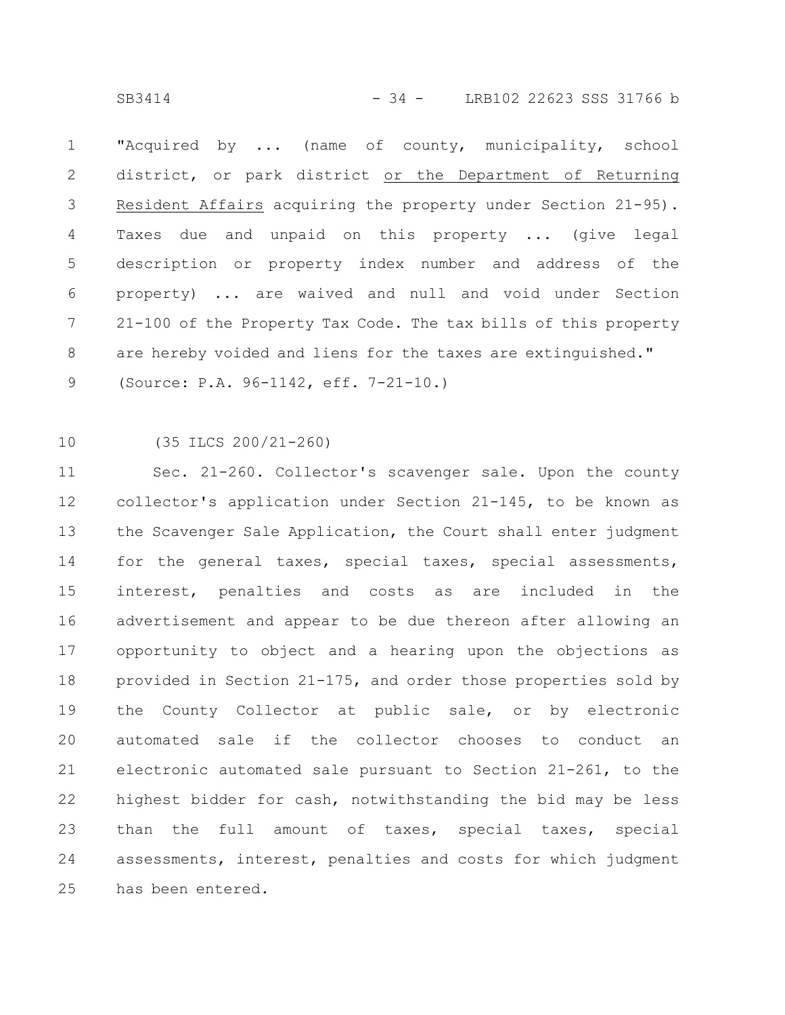SB3414 - 34 - LRB102 22623 SSS 31766 b

"Acquired by ... (name of county, municipality, school district, or park district or the Department of Returning Resident Affairs acquiring the property under Section 21-95). Taxes due and unpaid on this property ... (give legal description or property index number and address of the property) ... are waived and null and void under Section 21-100 of the Property Tax Code. The tax bills of this property are hereby voided and liens for the taxes are extinguished." (Source: P.A. 96-1142, eff. 7-21-10.) 1 2 3 4 5 6 7 8 9

(35 ILCS 200/21-260) 10

Sec. 21-260. Collector's scavenger sale. Upon the county collector's application under Section 21-145, to be known as the Scavenger Sale Application, the Court shall enter judgment for the general taxes, special taxes, special assessments, interest, penalties and costs as are included in the advertisement and appear to be due thereon after allowing an opportunity to object and a hearing upon the objections as provided in Section 21-175, and order those properties sold by the County Collector at public sale, or by electronic automated sale if the collector chooses to conduct an electronic automated sale pursuant to Section 21-261, to the highest bidder for cash, notwithstanding the bid may be less than the full amount of taxes, special taxes, special assessments, interest, penalties and costs for which judgment has been entered. 11 12 13 14 15 16 17 18 19 20 21 22 23 24 25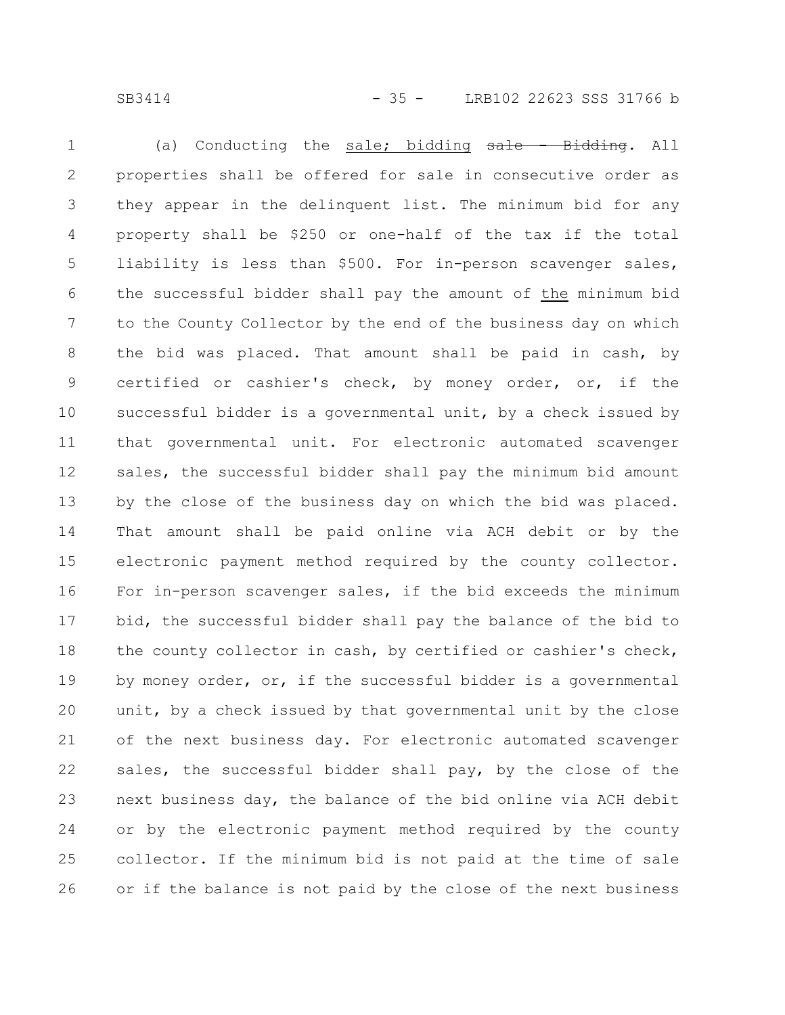(a) Conducting the sale; bidding sale - Bidding. All properties shall be offered for sale in consecutive order as they appear in the delinquent list. The minimum bid for any property shall be \$250 or one-half of the tax if the total liability is less than \$500. For in-person scavenger sales, the successful bidder shall pay the amount of the minimum bid to the County Collector by the end of the business day on which the bid was placed. That amount shall be paid in cash, by certified or cashier's check, by money order, or, if the successful bidder is a governmental unit, by a check issued by that governmental unit. For electronic automated scavenger sales, the successful bidder shall pay the minimum bid amount by the close of the business day on which the bid was placed. That amount shall be paid online via ACH debit or by the electronic payment method required by the county collector. For in-person scavenger sales, if the bid exceeds the minimum bid, the successful bidder shall pay the balance of the bid to the county collector in cash, by certified or cashier's check, by money order, or, if the successful bidder is a governmental unit, by a check issued by that governmental unit by the close of the next business day. For electronic automated scavenger sales, the successful bidder shall pay, by the close of the next business day, the balance of the bid online via ACH debit or by the electronic payment method required by the county collector. If the minimum bid is not paid at the time of sale or if the balance is not paid by the close of the next business 1 2 3 4 5 6 7 8 9 10 11 12 13 14 15 16 17 18 19 20 21 22 23 24 25 26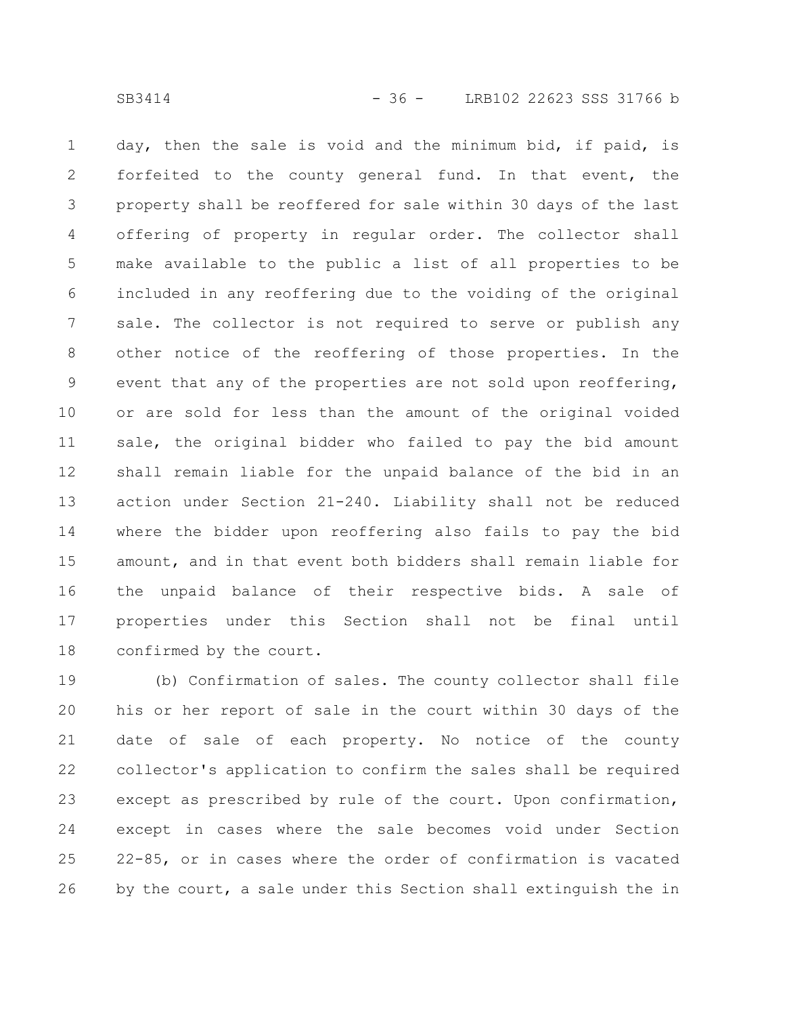day, then the sale is void and the minimum bid, if paid, is forfeited to the county general fund. In that event, the property shall be reoffered for sale within 30 days of the last offering of property in regular order. The collector shall make available to the public a list of all properties to be included in any reoffering due to the voiding of the original sale. The collector is not required to serve or publish any other notice of the reoffering of those properties. In the event that any of the properties are not sold upon reoffering, or are sold for less than the amount of the original voided sale, the original bidder who failed to pay the bid amount shall remain liable for the unpaid balance of the bid in an action under Section 21-240. Liability shall not be reduced where the bidder upon reoffering also fails to pay the bid amount, and in that event both bidders shall remain liable for the unpaid balance of their respective bids. A sale of properties under this Section shall not be final until confirmed by the court. 1 2 3 4 5 6 7 8 9 10 11 12 13 14 15 16 17 18

(b) Confirmation of sales. The county collector shall file his or her report of sale in the court within 30 days of the date of sale of each property. No notice of the county collector's application to confirm the sales shall be required except as prescribed by rule of the court. Upon confirmation, except in cases where the sale becomes void under Section 22-85, or in cases where the order of confirmation is vacated by the court, a sale under this Section shall extinguish the in 19 20 21 22 23 24 25 26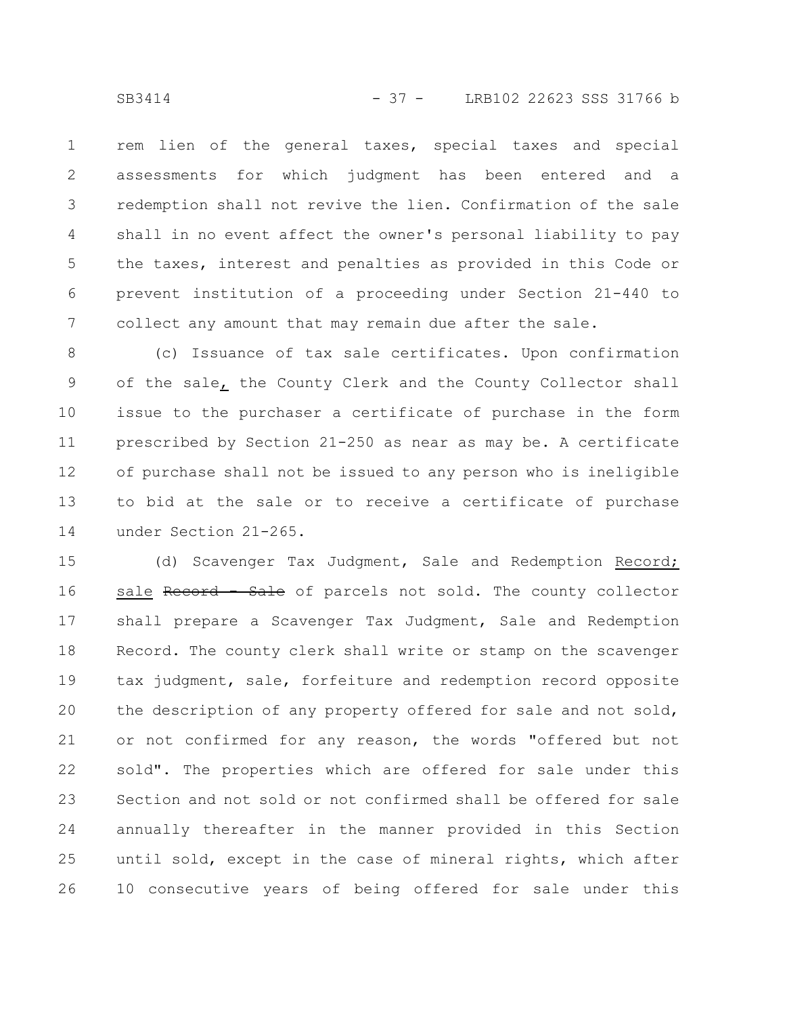rem lien of the general taxes, special taxes and special assessments for which judgment has been entered and a redemption shall not revive the lien. Confirmation of the sale shall in no event affect the owner's personal liability to pay the taxes, interest and penalties as provided in this Code or prevent institution of a proceeding under Section 21-440 to collect any amount that may remain due after the sale. 1 2 3 4 5 6 7

(c) Issuance of tax sale certificates. Upon confirmation of the sale, the County Clerk and the County Collector shall issue to the purchaser a certificate of purchase in the form prescribed by Section 21-250 as near as may be. A certificate of purchase shall not be issued to any person who is ineligible to bid at the sale or to receive a certificate of purchase under Section 21-265. 8 9 10 11 12 13 14

(d) Scavenger Tax Judgment, Sale and Redemption Record; sale Record - Sale of parcels not sold. The county collector shall prepare a Scavenger Tax Judgment, Sale and Redemption Record. The county clerk shall write or stamp on the scavenger tax judgment, sale, forfeiture and redemption record opposite the description of any property offered for sale and not sold, or not confirmed for any reason, the words "offered but not sold". The properties which are offered for sale under this Section and not sold or not confirmed shall be offered for sale annually thereafter in the manner provided in this Section until sold, except in the case of mineral rights, which after 10 consecutive years of being offered for sale under this 15 16 17 18 19 20 21 22 23 24 25 26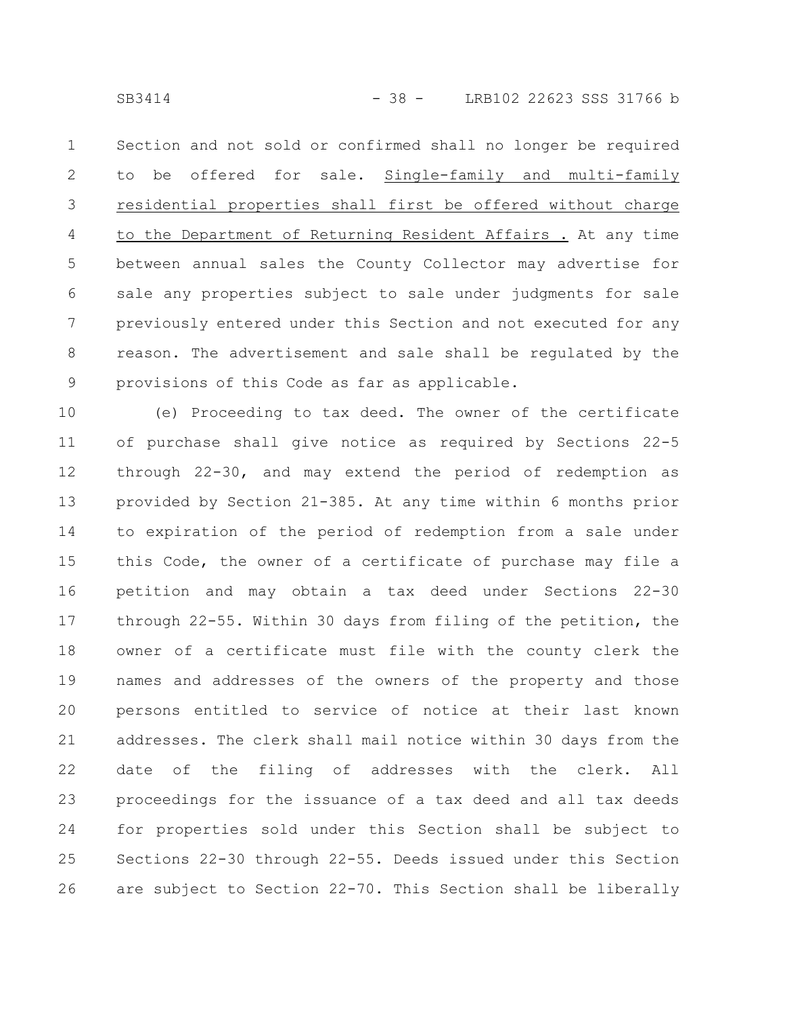Section and not sold or confirmed shall no longer be required to be offered for sale. Single-family and multi-family residential properties shall first be offered without charge to the Department of Returning Resident Affairs . At any time between annual sales the County Collector may advertise for sale any properties subject to sale under judgments for sale previously entered under this Section and not executed for any reason. The advertisement and sale shall be regulated by the provisions of this Code as far as applicable. 1 2 3 4 5 6 7 8 9

(e) Proceeding to tax deed. The owner of the certificate of purchase shall give notice as required by Sections 22-5 through 22-30, and may extend the period of redemption as provided by Section 21-385. At any time within 6 months prior to expiration of the period of redemption from a sale under this Code, the owner of a certificate of purchase may file a petition and may obtain a tax deed under Sections 22-30 through 22-55. Within 30 days from filing of the petition, the owner of a certificate must file with the county clerk the names and addresses of the owners of the property and those persons entitled to service of notice at their last known addresses. The clerk shall mail notice within 30 days from the date of the filing of addresses with the clerk. All proceedings for the issuance of a tax deed and all tax deeds for properties sold under this Section shall be subject to Sections 22-30 through 22-55. Deeds issued under this Section are subject to Section 22-70. This Section shall be liberally 10 11 12 13 14 15 16 17 18 19 20 21 22 23 24 25 26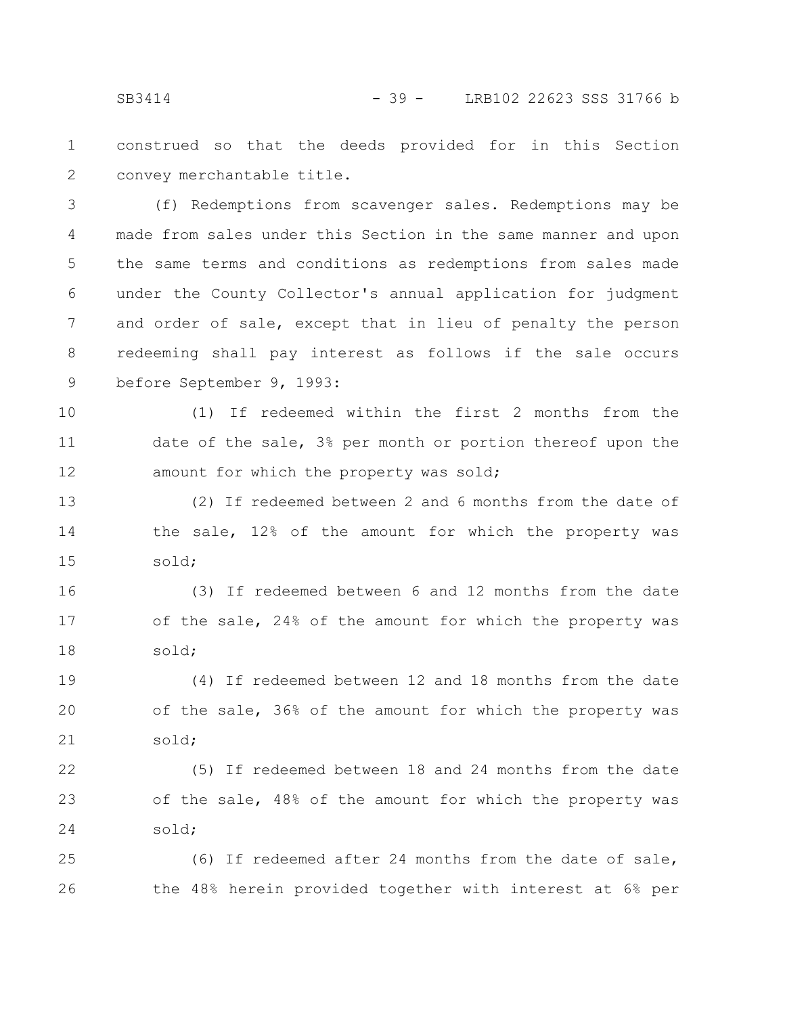construed so that the deeds provided for in this Section convey merchantable title. 1 2

(f) Redemptions from scavenger sales. Redemptions may be made from sales under this Section in the same manner and upon the same terms and conditions as redemptions from sales made under the County Collector's annual application for judgment and order of sale, except that in lieu of penalty the person redeeming shall pay interest as follows if the sale occurs before September 9, 1993: 3 4 5 6 7 8 9

(1) If redeemed within the first 2 months from the date of the sale, 3% per month or portion thereof upon the amount for which the property was sold; 10 11 12

(2) If redeemed between 2 and 6 months from the date of the sale, 12% of the amount for which the property was sold; 13 14 15

(3) If redeemed between 6 and 12 months from the date of the sale, 24% of the amount for which the property was sold; 16 17 18

(4) If redeemed between 12 and 18 months from the date of the sale, 36% of the amount for which the property was sold; 19 20 21

(5) If redeemed between 18 and 24 months from the date of the sale, 48% of the amount for which the property was sold; 22 23 24

(6) If redeemed after 24 months from the date of sale, the 48% herein provided together with interest at 6% per 25 26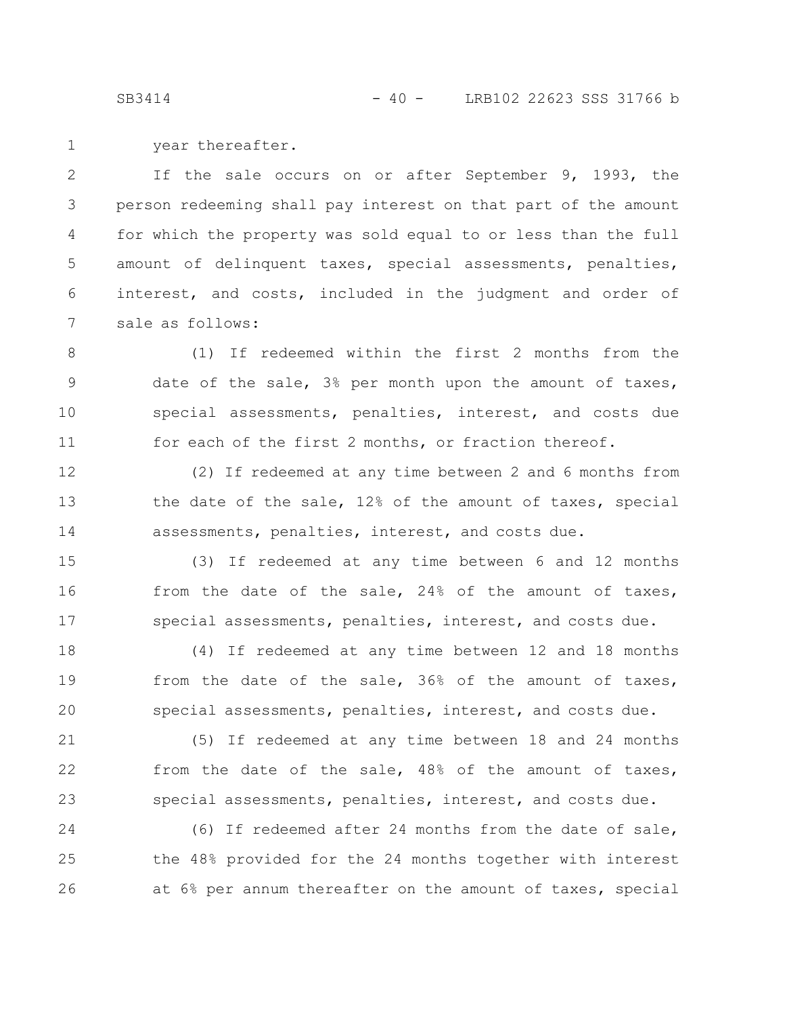SB3414 - 40 - LRB102 22623 SSS 31766 b

year thereafter. 1

If the sale occurs on or after September 9, 1993, the person redeeming shall pay interest on that part of the amount for which the property was sold equal to or less than the full amount of delinquent taxes, special assessments, penalties, interest, and costs, included in the judgment and order of sale as follows: 2 3 4 5 6 7

(1) If redeemed within the first 2 months from the date of the sale, 3% per month upon the amount of taxes, special assessments, penalties, interest, and costs due for each of the first 2 months, or fraction thereof. 8 9 10 11

(2) If redeemed at any time between 2 and 6 months from the date of the sale, 12% of the amount of taxes, special assessments, penalties, interest, and costs due. 12 13 14

(3) If redeemed at any time between 6 and 12 months from the date of the sale, 24% of the amount of taxes, special assessments, penalties, interest, and costs due. 15 16 17

(4) If redeemed at any time between 12 and 18 months from the date of the sale, 36% of the amount of taxes, special assessments, penalties, interest, and costs due. 18 19 20

(5) If redeemed at any time between 18 and 24 months from the date of the sale, 48% of the amount of taxes, special assessments, penalties, interest, and costs due. 21 22 23

(6) If redeemed after 24 months from the date of sale, the 48% provided for the 24 months together with interest at 6% per annum thereafter on the amount of taxes, special 24 25 26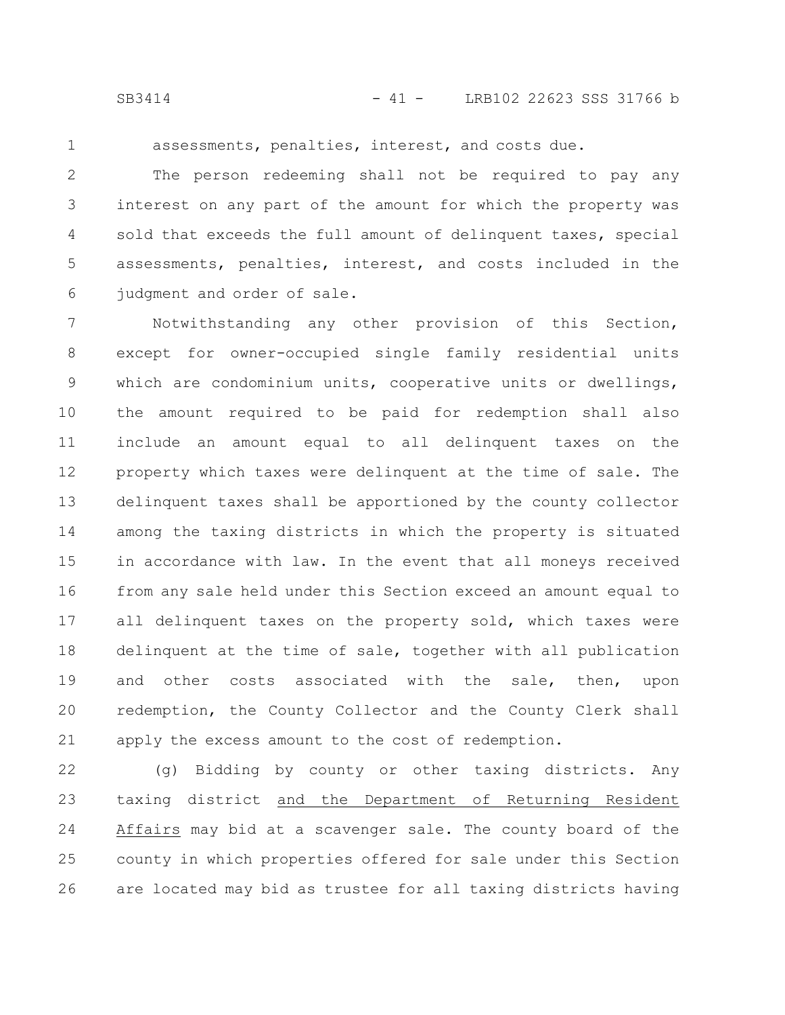1

assessments, penalties, interest, and costs due.

The person redeeming shall not be required to pay any interest on any part of the amount for which the property was sold that exceeds the full amount of delinquent taxes, special assessments, penalties, interest, and costs included in the judgment and order of sale. 2 3 4 5 6

Notwithstanding any other provision of this Section, except for owner-occupied single family residential units which are condominium units, cooperative units or dwellings, the amount required to be paid for redemption shall also include an amount equal to all delinquent taxes on the property which taxes were delinquent at the time of sale. The delinquent taxes shall be apportioned by the county collector among the taxing districts in which the property is situated in accordance with law. In the event that all moneys received from any sale held under this Section exceed an amount equal to all delinquent taxes on the property sold, which taxes were delinquent at the time of sale, together with all publication and other costs associated with the sale, then, upon redemption, the County Collector and the County Clerk shall apply the excess amount to the cost of redemption. 7 8 9 10 11 12 13 14 15 16 17 18 19 20 21

(g) Bidding by county or other taxing districts. Any taxing district and the Department of Returning Resident Affairs may bid at a scavenger sale. The county board of the county in which properties offered for sale under this Section are located may bid as trustee for all taxing districts having 22 23 24 25 26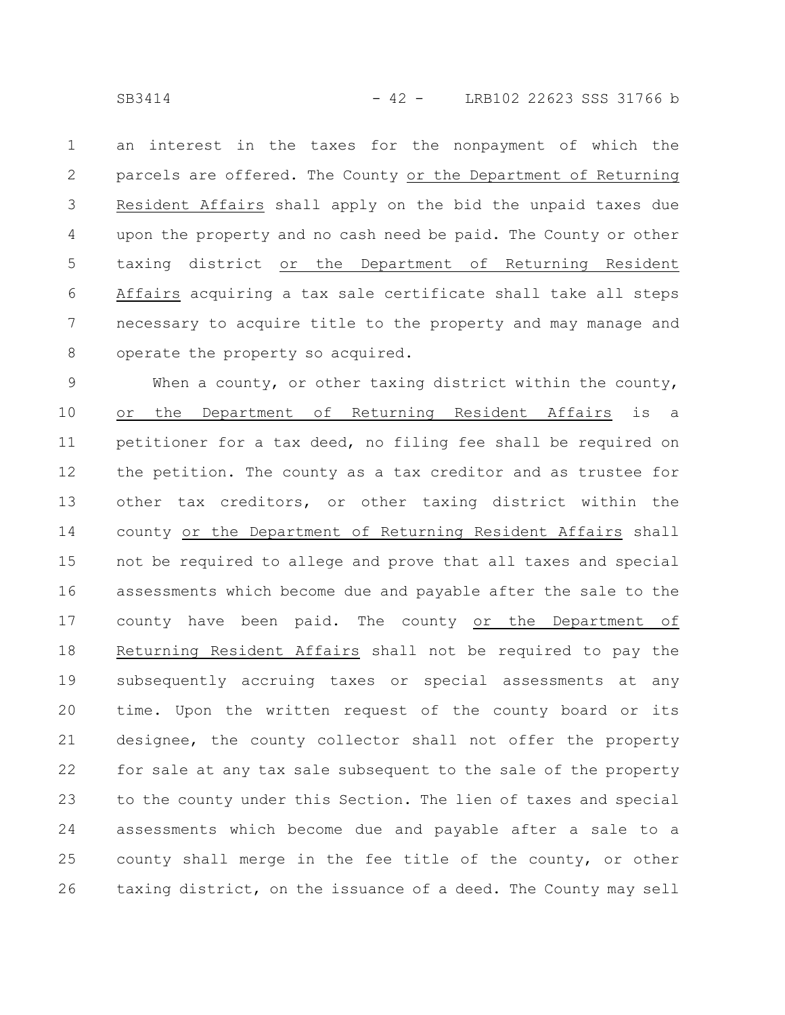SB3414 - 42 - LRB102 22623 SSS 31766 b

an interest in the taxes for the nonpayment of which the parcels are offered. The County or the Department of Returning Resident Affairs shall apply on the bid the unpaid taxes due upon the property and no cash need be paid. The County or other taxing district or the Department of Returning Resident Affairs acquiring a tax sale certificate shall take all steps necessary to acquire title to the property and may manage and operate the property so acquired. 1 2 3 4 5 6 7 8

When a county, or other taxing district within the county, or the Department of Returning Resident Affairs is a petitioner for a tax deed, no filing fee shall be required on the petition. The county as a tax creditor and as trustee for other tax creditors, or other taxing district within the county or the Department of Returning Resident Affairs shall not be required to allege and prove that all taxes and special assessments which become due and payable after the sale to the county have been paid. The county or the Department of Returning Resident Affairs shall not be required to pay the subsequently accruing taxes or special assessments at any time. Upon the written request of the county board or its designee, the county collector shall not offer the property for sale at any tax sale subsequent to the sale of the property to the county under this Section. The lien of taxes and special assessments which become due and payable after a sale to a county shall merge in the fee title of the county, or other taxing district, on the issuance of a deed. The County may sell 9 10 11 12 13 14 15 16 17 18 19 20 21 22 23 24 25 26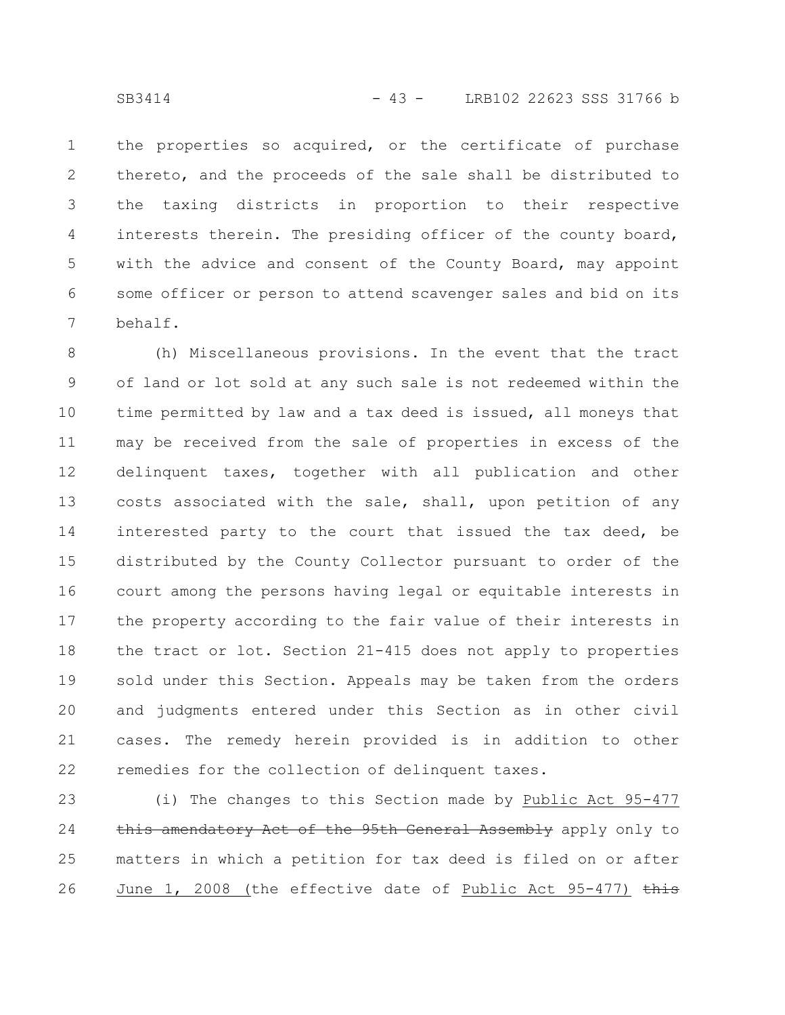the properties so acquired, or the certificate of purchase thereto, and the proceeds of the sale shall be distributed to the taxing districts in proportion to their respective interests therein. The presiding officer of the county board, with the advice and consent of the County Board, may appoint some officer or person to attend scavenger sales and bid on its behalf. 1 2 3 4 5 6 7

(h) Miscellaneous provisions. In the event that the tract of land or lot sold at any such sale is not redeemed within the time permitted by law and a tax deed is issued, all moneys that may be received from the sale of properties in excess of the delinquent taxes, together with all publication and other costs associated with the sale, shall, upon petition of any interested party to the court that issued the tax deed, be distributed by the County Collector pursuant to order of the court among the persons having legal or equitable interests in the property according to the fair value of their interests in the tract or lot. Section 21-415 does not apply to properties sold under this Section. Appeals may be taken from the orders and judgments entered under this Section as in other civil cases. The remedy herein provided is in addition to other remedies for the collection of delinquent taxes. 8 9 10 11 12 13 14 15 16 17 18 19 20 21 22

(i) The changes to this Section made by Public Act 95-477 this amendatory Act of the 95th General Assembly apply only to matters in which a petition for tax deed is filed on or after June 1, 2008 (the effective date of Public Act 95-477) this 23 24 25 26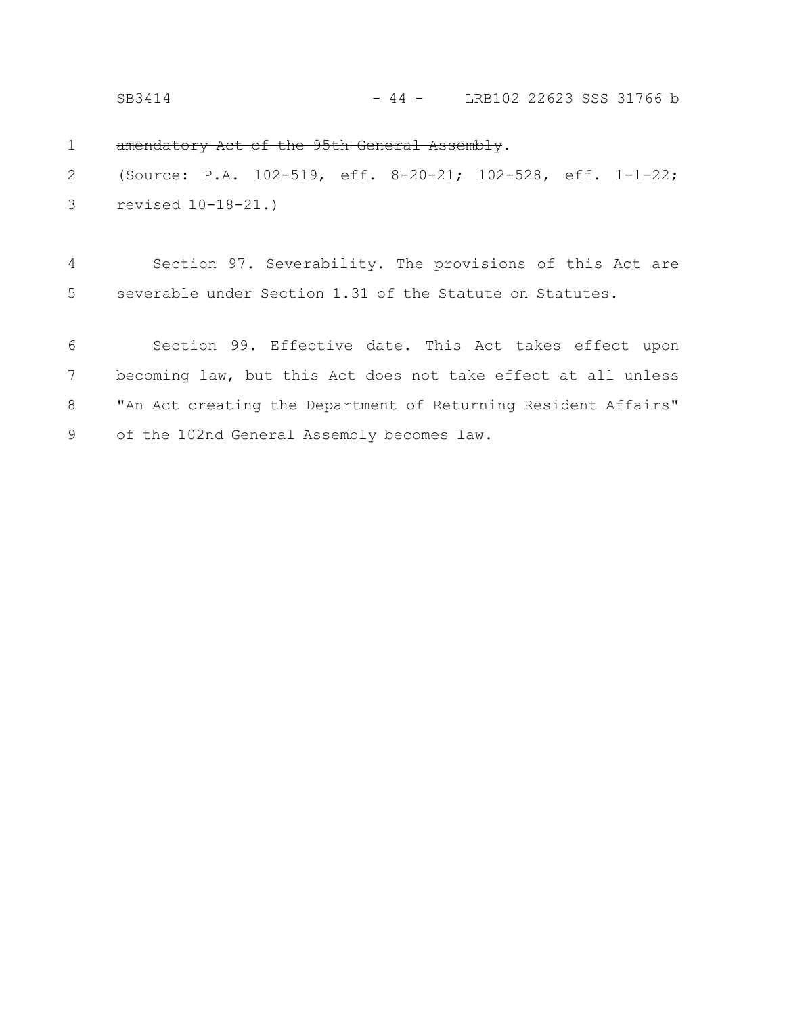SB3414 - 44 - LRB102 22623 SSS 31766 b

amendatory Act of the 95th General Assembly. 1

(Source: P.A. 102-519, eff. 8-20-21; 102-528, eff. 1-1-22; revised 10-18-21.) 2 3

Section 97. Severability. The provisions of this Act are severable under Section 1.31 of the Statute on Statutes. 4 5

Section 99. Effective date. This Act takes effect upon becoming law, but this Act does not take effect at all unless "An Act creating the Department of Returning Resident Affairs" of the 102nd General Assembly becomes law. 6 7 8 9